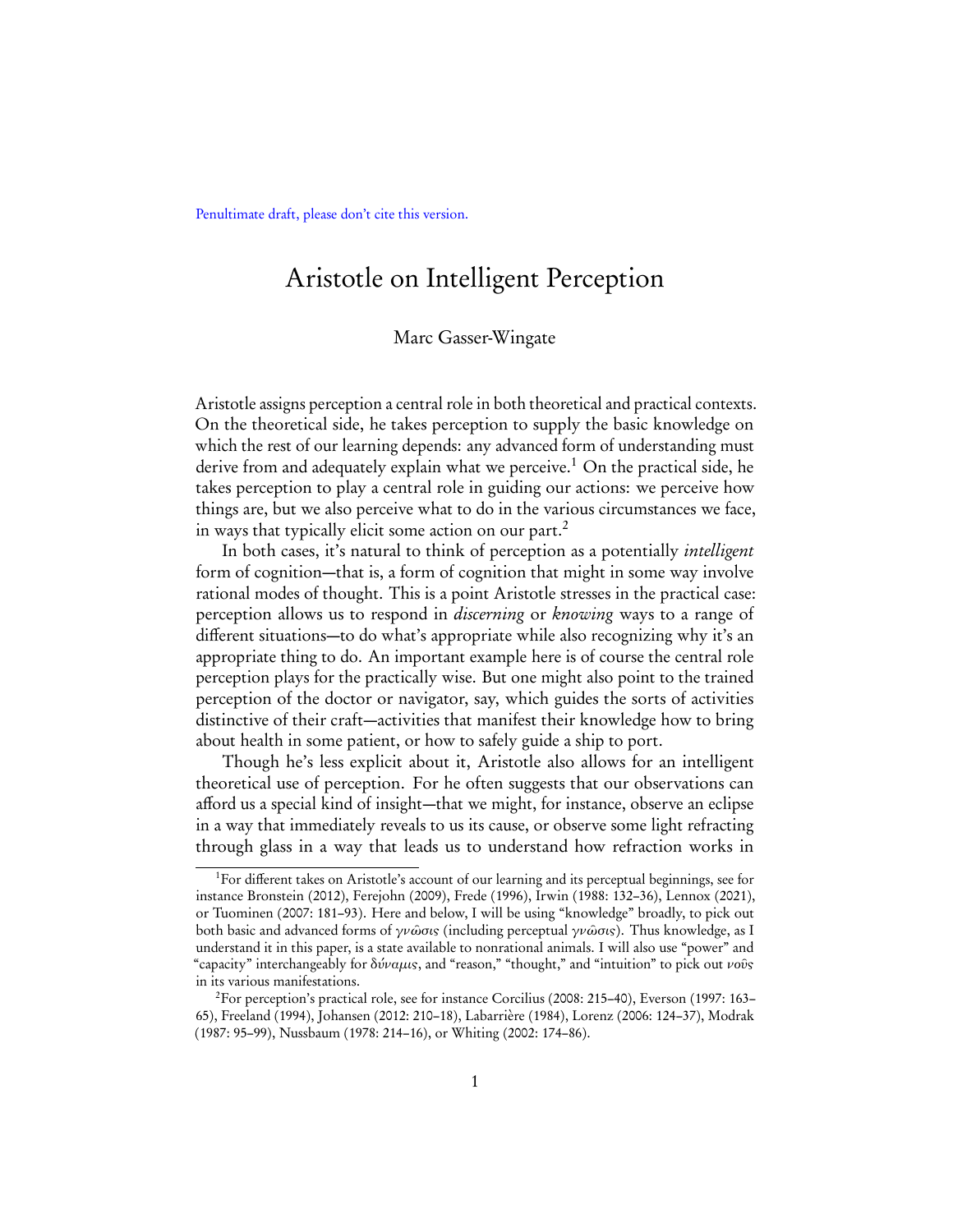Penultimate draft, please don't cite this version.

# Aristotle on Intelligent Perception

## Marc Gasser-Wingate

Aristotle assigns perception a central role in both theoretical and practical contexts. On the theoretical side, he takes perception to supply the basic knowledge on which the rest of our learning depends: any advanced form of understanding must derive from and adequately explain what we perceive.<sup>[1](#page-0-0)</sup> On the practical side, he takes perception to play a central role in guiding our actions: we perceive how things are, but we also perceive what to do in the various circumstances we face, in ways that typically elicit some action on our part.<sup>[2](#page-0-1)</sup>

In both cases, it's natural to think of perception as a potentially *intelligent* form of cognition—that is, a form of cognition that might in some way involve rational modes of thought. This is a point Aristotle stresses in the practical case: perception allows us to respond in discerning or knowing ways to a range of different situations—to do what's appropriate while also recognizing why it's an appropriate thing to do. An important example here is of course the central role perception plays for the practically wise. But one might also point to the trained perception of the doctor or navigator, say, which guides the sorts of activities distinctive of their craft—activities that manifest their knowledge how to bring about health in some patient, or how to safely guide a ship to port.

Though he's less explicit about it, Aristotle also allows for an intelligent theoretical use of perception. For he often suggests that our observations can afford us a special kind of insight—that we might, for instance, observe an eclipse in a way that immediately reveals to us its cause, or observe some light refracting through glass in a way that leads us to understand how refraction works in

<span id="page-0-0"></span><sup>&</sup>lt;sup>1</sup>For different takes on Aristotle's account of our learning and its perceptual beginnings, see for instance [Bronstein](#page-28-0) [\(2012\)](#page-28-0), [Ferejohn](#page-28-1) [\(2009\)](#page-28-1), [Frede](#page-28-2) ([1996\)](#page-28-2), [Irwin](#page-29-0) [\(1988:](#page-29-0) 132–36), [Lennox](#page-29-1) [\(2021\)](#page-29-1), or [Tuominen](#page-31-0) ([2007:](#page-31-0) 181–93). Here and below, I will be using "knowledge" broadly, to pick out both basic and advanced forms of γνῶσις (including perceptual γνῶσις). Thus knowledge, as I understand it in this paper, is a state available to nonrational animals. I will also use "power" and "capacity" interchangeably for δύναμις, and "reason," "thought," and "intuition" to pick out νοῦς in its various manifestations.

<span id="page-0-1"></span><sup>2</sup>For perception's practical role, see for instance [Corcilius](#page-28-3) ([2008:](#page-28-3) 215–40), [Everson](#page-28-4) ([1997:](#page-28-4) 163– 65), [Freeland](#page-28-5) [\(1994\)](#page-28-5), [Johansen](#page-29-2) ([2012:](#page-29-2) 210–18), [Labarrière](#page-29-3) [\(1984\)](#page-29-3), [Lorenz](#page-29-4) ([2006:](#page-29-4) 124–37), [Modrak](#page-30-0) [\(1987:](#page-30-0) 95–99), [Nussbaum](#page-30-1) [\(1978:](#page-30-1) 214–16), or [Whiting](#page-31-1) [\(2002:](#page-31-1) 174–86).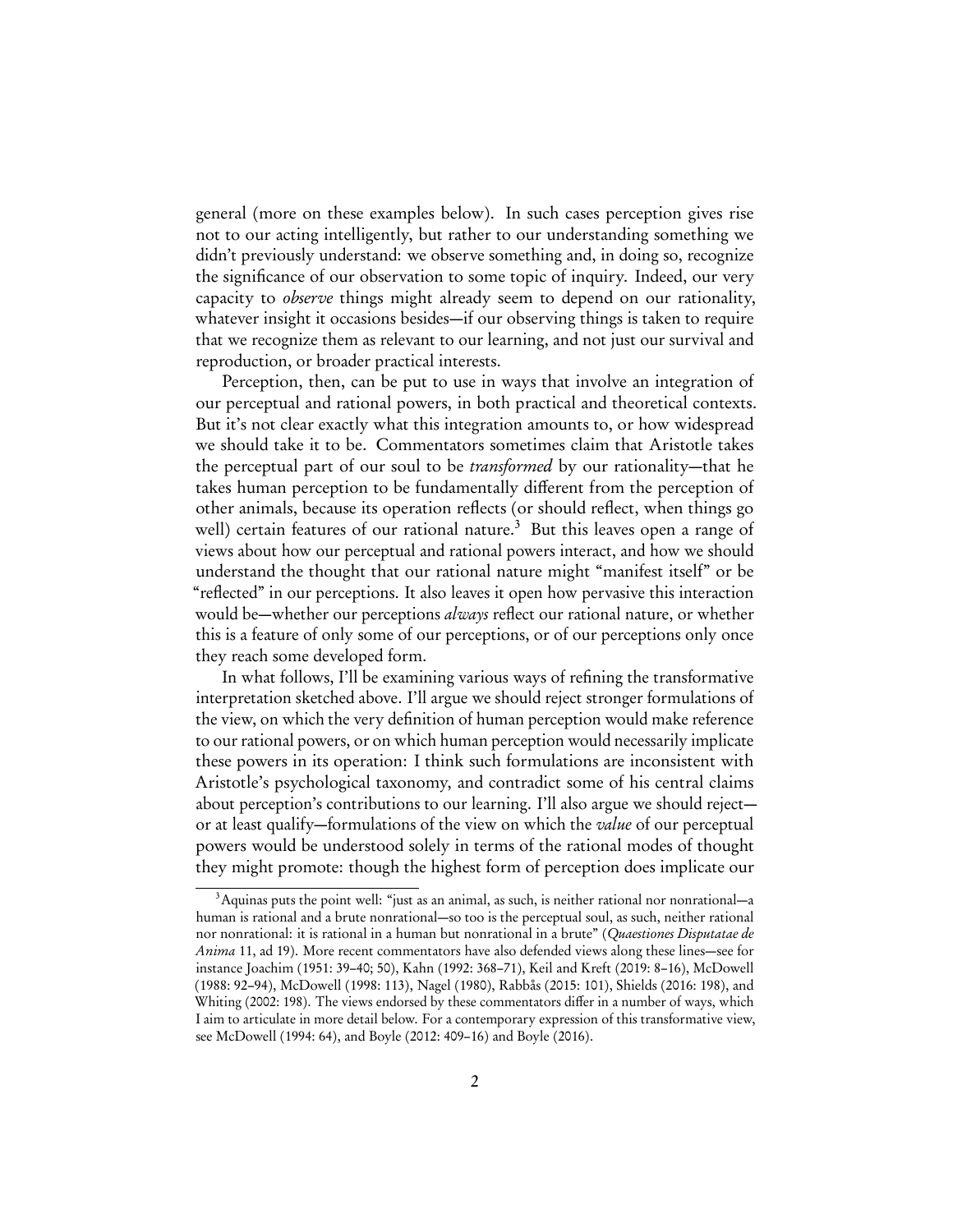general (more on these examples below). In such cases perception gives rise not to our acting intelligently, but rather to our understanding something we didn't previously understand: we observe something and, in doing so, recognize the significance of our observation to some topic of inquiry. Indeed, our very capacity to *observe* things might already seem to depend on our rationality, whatever insight it occasions besides—if our observing things is taken to require that we recognize them as relevant to our learning, and not just our survival and reproduction, or broader practical interests.

Perception, then, can be put to use in ways that involve an integration of our perceptual and rational powers, in both practical and theoretical contexts. But it's not clear exactly what this integration amounts to, or how widespread we should take it to be. Commentators sometimes claim that Aristotle takes the perceptual part of our soul to be transformed by our rationality—that he takes human perception to be fundamentally different from the perception of other animals, because its operation reflects (or should reflect, when things go well) certain features of our rational nature.<sup>[3](#page-1-0)</sup> But this leaves open a range of views about how our perceptual and rational powers interact, and how we should understand the thought that our rational nature might "manifest itself" or be "reflected" in our perceptions. It also leaves it open how pervasive this interaction would be—whether our perceptions *always* reflect our rational nature, or whether this is a feature of only some of our perceptions, or of our perceptions only once they reach some developed form.

In what follows, I'll be examining various ways of refining the transformative interpretation sketched above. I'll argue we should reject stronger formulations of the view, on which the very definition of human perception would make reference to our rational powers, or on which human perception would necessarily implicate these powers in its operation: I think such formulations are inconsistent with Aristotle's psychological taxonomy, and contradict some of his central claims about perception's contributions to our learning. I'll also argue we should reject or at least qualify—formulations of the view on which the *value* of our perceptual powers would be understood solely in terms of the rational modes of thought they might promote: though the highest form of perception does implicate our

<span id="page-1-0"></span> $3$ Aquinas puts the point well: "just as an animal, as such, is neither rational nor nonrational—a human is rational and a brute nonrational—so too is the perceptual soul, as such, neither rational nor nonrational: it is rational in a human but nonrational in a brute" (Quaestiones Disputatae de Anima 11, ad 19). More recent commentators have also defended views along these lines—see for instance [Joachim](#page-29-5) [\(1951:](#page-29-5) 39–40; 50), [Kahn](#page-29-6) ([1992:](#page-29-6) 368–71), [Keil and Kreft](#page-29-7) ([2019:](#page-29-7) 8–16), [McDowell](#page-30-2) [\(1988:](#page-30-2) 92–94), [McDowell](#page-30-3) [\(1998:](#page-30-3) 113), [Nagel](#page-30-4) [\(1980\)](#page-30-4), [Rabbås](#page-30-5) [\(2015:](#page-30-5) 101), [Shields](#page-30-6) [\(2016:](#page-30-6) 198), and [Whiting](#page-31-1) ([2002:](#page-31-1) 198). The views endorsed by these commentators differ in a number of ways, which I aim to articulate in more detail below. For a contemporary expression of this transformative view, see [McDowell](#page-30-7) [\(1994:](#page-30-7) 64), and [Boyle](#page-28-6) [\(2012:](#page-28-6) 409–16) and [Boyle](#page-28-7) ([2016\)](#page-28-7).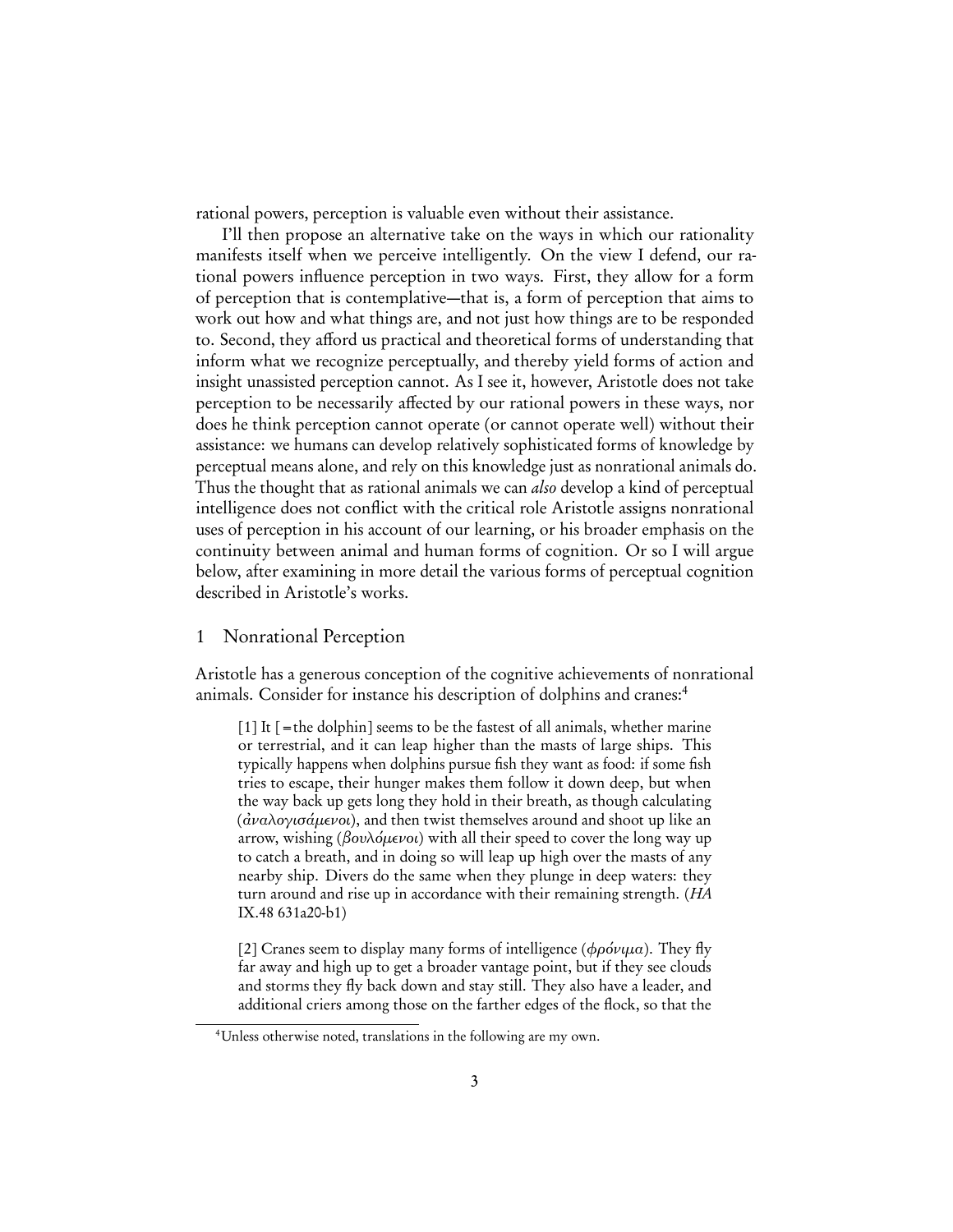rational powers, perception is valuable even without their assistance.

I'll then propose an alternative take on the ways in which our rationality manifests itself when we perceive intelligently. On the view I defend, our rational powers influence perception in two ways. First, they allow for a form of perception that is contemplative—that is, a form of perception that aims to work out how and what things are, and not just how things are to be responded to. Second, they afford us practical and theoretical forms of understanding that inform what we recognize perceptually, and thereby yield forms of action and insight unassisted perception cannot. As I see it, however, Aristotle does not take perception to be necessarily affected by our rational powers in these ways, nor does he think perception cannot operate (or cannot operate well) without their assistance: we humans can develop relatively sophisticated forms of knowledge by perceptual means alone, and rely on this knowledge just as nonrational animals do. Thus the thought that as rational animals we can *also* develop a kind of perceptual intelligence does not conflict with the critical role Aristotle assigns nonrational uses of perception in his account of our learning, or his broader emphasis on the continuity between animal and human forms of cognition. Or so I will argue below, after examining in more detail the various forms of perceptual cognition described in Aristotle's works.

## 1 Nonrational Perception

Aristotle has a generous conception of the cognitive achievements of nonrational animals. Consider for instance his description of dolphins and cranes:<sup>[4](#page-2-0)</sup>

<span id="page-2-1"></span> $[1]$  It  $[=$  the dolphin seems to be the fastest of all animals, whether marine or terrestrial, and it can leap higher than the masts of large ships. This typically happens when dolphins pursue fish they want as food: if some fish tries to escape, their hunger makes them follow it down deep, but when the way back up gets long they hold in their breath, as though calculating ( $\dot{\alpha}$ ναλογισάμενοι), and then twist themselves around and shoot up like an arrow, wishing (βουλόμενοι) with all their speed to cover the long way up to catch a breath, and in doing so will leap up high over the masts of any nearby ship. Divers do the same when they plunge in deep waters: they turn around and rise up in accordance with their remaining strength. (HA IX.48 631a20-b1)

<span id="page-2-2"></span>[2] Cranes seem to display many forms of intelligence ( $\phi \rho \acute{o} \nu \mu a$ ). They fly far away and high up to get a broader vantage point, but if they see clouds and storms they fly back down and stay still. They also have a leader, and additional criers among those on the farther edges of the flock, so that the

<span id="page-2-0"></span><sup>4</sup>Unless otherwise noted, translations in the following are my own.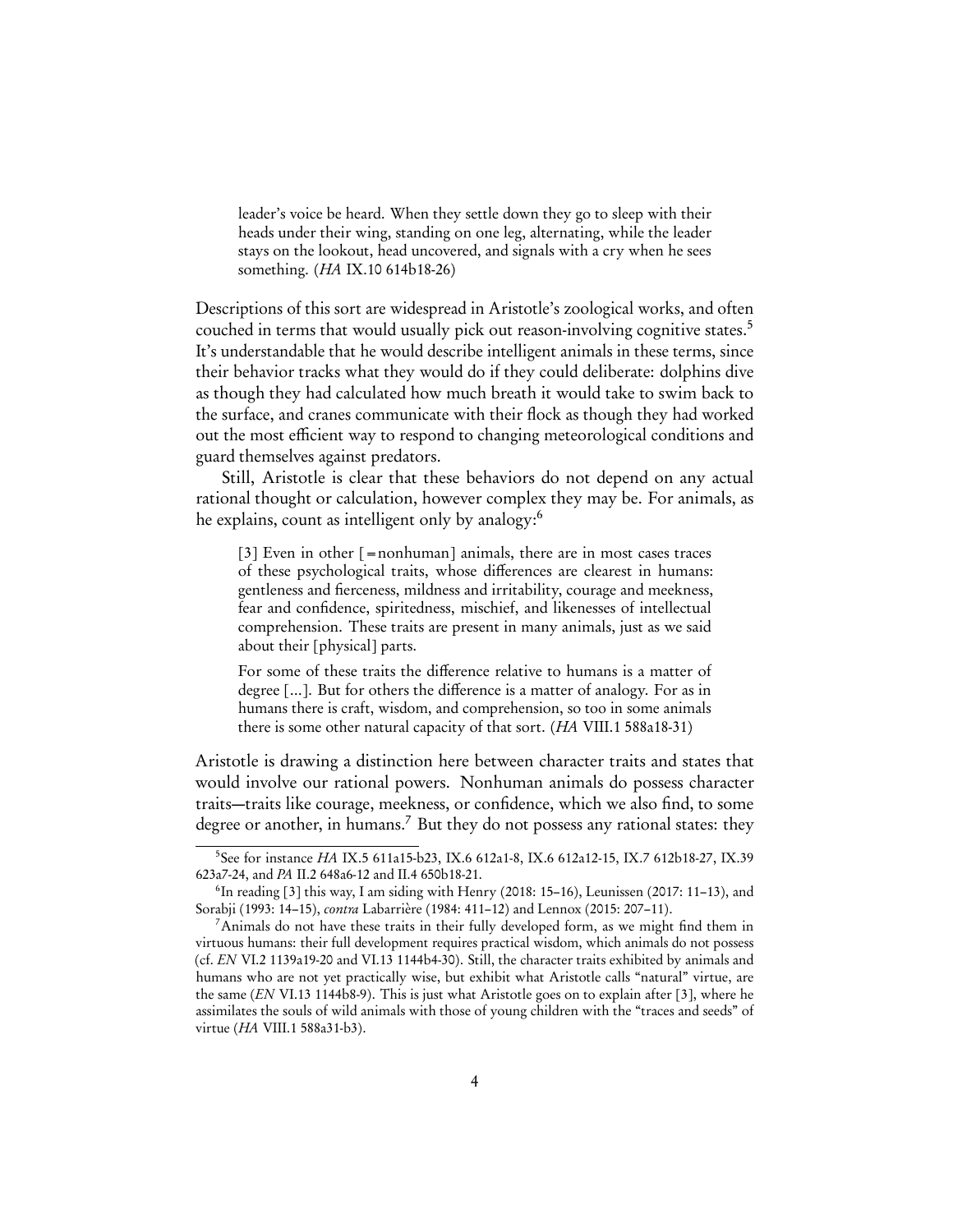leader's voice be heard. When they settle down they go to sleep with their heads under their wing, standing on one leg, alternating, while the leader stays on the lookout, head uncovered, and signals with a cry when he sees something. (HA IX.10 614b18-26)

Descriptions of this sort are widespread in Aristotle's zoological works, and often couched in terms that would usually pick out reason-involving cognitive states.<sup>[5](#page-3-0)</sup> It's understandable that he would describe intelligent animals in these terms, since their behavior tracks what they would do if they could deliberate: dolphins dive as though they had calculated how much breath it would take to swim back to the surface, and cranes communicate with their flock as though they had worked out the most efficient way to respond to changing meteorological conditions and guard themselves against predators.

Still, Aristotle is clear that these behaviors do not depend on any actual rational thought or calculation, however complex they may be. For animals, as he explains, count as intelligent only by analogy:<sup>[6](#page-3-1)</sup>

<span id="page-3-3"></span>[3] Even in other  $[=$  nonhuman] animals, there are in most cases traces of these psychological traits, whose differences are clearest in humans: gentleness and fierceness, mildness and irritability, courage and meekness, fear and confidence, spiritedness, mischief, and likenesses of intellectual comprehension. These traits are present in many animals, just as we said about their [physical] parts.

For some of these traits the difference relative to humans is a matter of degree [...]. But for others the difference is a matter of analogy. For as in humans there is craft, wisdom, and comprehension, so too in some animals there is some other natural capacity of that sort. (HA VIII.1 588a18-31)

Aristotle is drawing a distinction here between character traits and states that would involve our rational powers. Nonhuman animals do possess character traits—traits like courage, meekness, or confidence, which we also find, to some degree or another, in humans.<sup>[7](#page-3-2)</sup> But they do not possess any rational states: they

<span id="page-3-0"></span><sup>5</sup> See for instance HA IX.5 611a15-b23, IX.6 612a1-8, IX.6 612a12-15, IX.7 612b18-27, IX.39 623a7-24, and PA II.2 648a6-12 and II.4 650b18-21.

<span id="page-3-1"></span><sup>6</sup> In reading [\[3\]](#page-3-3) this way, I am siding with [Henry](#page-29-8) [\(2018:](#page-29-8) 15–16), [Leunissen](#page-29-9) [\(2017:](#page-29-9) 11–13), and [Sorabji](#page-30-8) [\(1993:](#page-30-8) 14–15), contra [Labarrière](#page-29-3) [\(1984:](#page-29-3) 411–12) and [Lennox](#page-29-10) [\(2015:](#page-29-10) 207–11).

<span id="page-3-2"></span><sup>&</sup>lt;sup>7</sup>Animals do not have these traits in their fully developed form, as we might find them in virtuous humans: their full development requires practical wisdom, which animals do not possess (cf. EN VI.2 1139a19-20 and VI.13 1144b4-30). Still, the character traits exhibited by animals and humans who are not yet practically wise, but exhibit what Aristotle calls "natural" virtue, are the same (EN VI.13 1144b8-9). This is just what Aristotle goes on to explain after [\[3\]](#page-3-3), where he assimilates the souls of wild animals with those of young children with the "traces and seeds" of virtue (HA VIII.1 588a31-b3).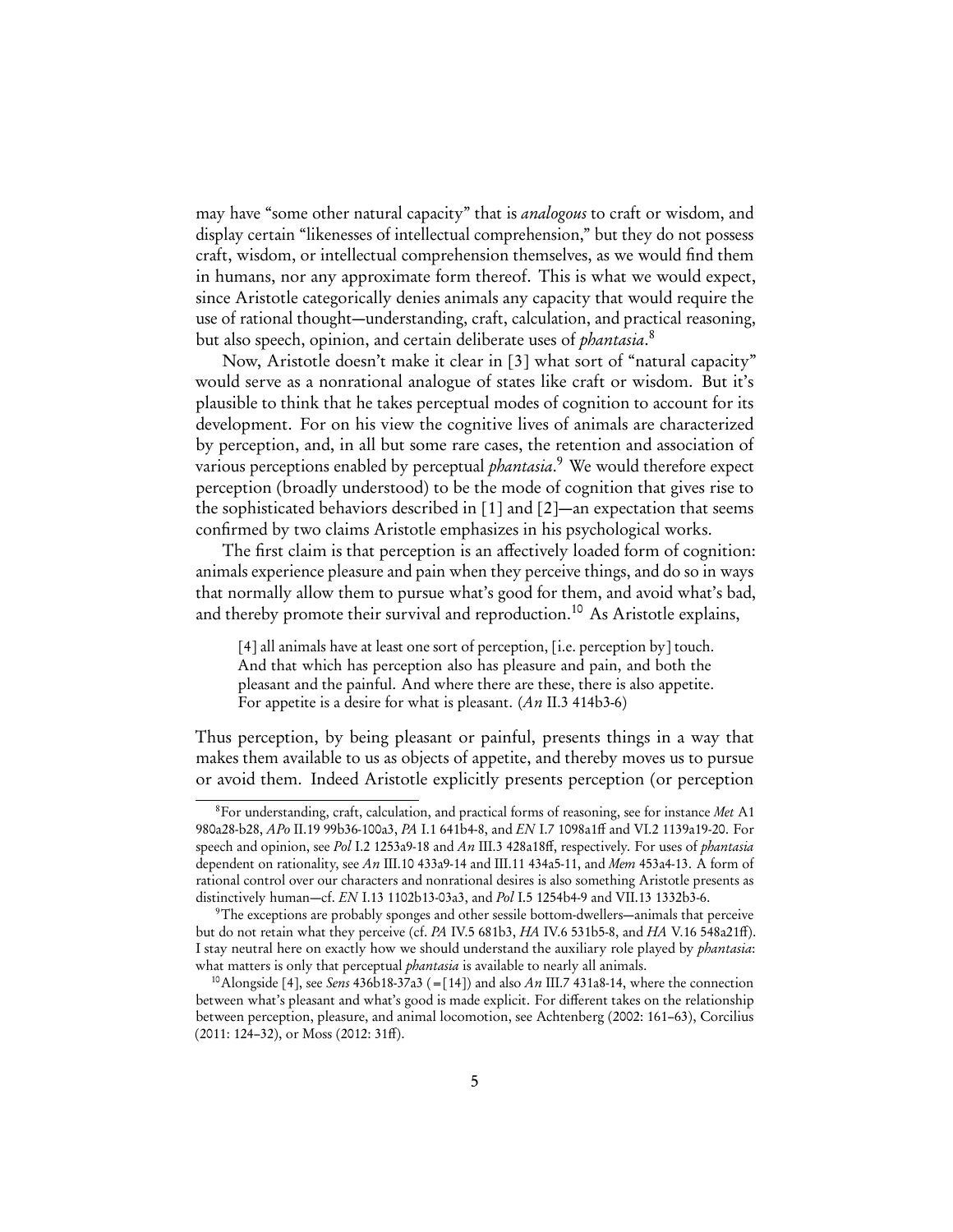may have "some other natural capacity" that is *analogous* to craft or wisdom, and display certain "likenesses of intellectual comprehension," but they do not possess craft, wisdom, or intellectual comprehension themselves, as we would find them in humans, nor any approximate form thereof. This is what we would expect, since Aristotle categorically denies animals any capacity that would require the use of rational thought—understanding, craft, calculation, and practical reasoning, but also speech, opinion, and certain deliberate uses of *phantasia*.<sup>[8](#page-4-0)</sup>

Now, Aristotle doesn't make it clear in [\[3\]](#page-3-3) what sort of "natural capacity" would serve as a nonrational analogue of states like craft or wisdom. But it's plausible to think that he takes perceptual modes of cognition to account for its development. For on his view the cognitive lives of animals are characterized by perception, and, in all but some rare cases, the retention and association of various perceptions enabled by perceptual *phantasia*.<sup>[9](#page-4-1)</sup> We would therefore expect perception (broadly understood) to be the mode of cognition that gives rise to the sophisticated behaviors described in [\[1\]](#page-2-1) and [\[2\]](#page-2-2)—an expectation that seems confirmed by two claims Aristotle emphasizes in his psychological works.

The first claim is that perception is an affectively loaded form of cognition: animals experience pleasure and pain when they perceive things, and do so in ways that normally allow them to pursue what's good for them, and avoid what's bad, and thereby promote their survival and reproduction.<sup>[10](#page-4-2)</sup> As Aristotle explains,

<span id="page-4-3"></span>[4] all animals have at least one sort of perception, [i.e. perception by] touch. And that which has perception also has pleasure and pain, and both the pleasant and the painful. And where there are these, there is also appetite. For appetite is a desire for what is pleasant.  $(An II.3 414b3.6)$ 

Thus perception, by being pleasant or painful, presents things in a way that makes them available to us as objects of appetite, and thereby moves us to pursue or avoid them. Indeed Aristotle explicitly presents perception (or perception

<span id="page-4-0"></span><sup>&</sup>lt;sup>8</sup>For understanding, craft, calculation, and practical forms of reasoning, see for instance Met A1 980a28-b28, APo II.19 99b36-100a3, PA I.1 641b4-8, and EN I.7 1098a1ff and VI.2 1139a19-20. For speech and opinion, see Pol I.2 1253a9-18 and An III.3 428a18ff, respectively. For uses of phantasia dependent on rationality, see An III.10 433a9-14 and III.11 434a5-11, and Mem 453a4-13. A form of rational control over our characters and nonrational desires is also something Aristotle presents as distinctively human—cf. EN I.13 1102b13-03a3, and Pol I.5 1254b4-9 and VII.13 1332b3-6.

<span id="page-4-1"></span><sup>9</sup>The exceptions are probably sponges and other sessile bottom-dwellers—animals that perceive but do not retain what they perceive (cf. PA IV.5 681b3, HA IV.6 531b5-8, and HA V.16 548a21ff). I stay neutral here on exactly how we should understand the auxiliary role played by phantasia: what matters is only that perceptual *phantasia* is available to nearly all animals.

<span id="page-4-2"></span><sup>&</sup>lt;sup>10</sup> Alongside [\[4\]](#page-4-3), see Sens 436b18-37a3 (=[\[14\]](#page-14-0)) and also An III.7 431a8-14, where the connection between what's pleasant and what's good is made explicit. For different takes on the relationship between perception, pleasure, and animal locomotion, see [Achtenberg](#page-28-8) [\(2002:](#page-28-8) 161–63), [Corcilius](#page-28-9) [\(2011:](#page-28-9) 124–32), or [Moss](#page-30-9) [\(2012:](#page-30-9) 31ff).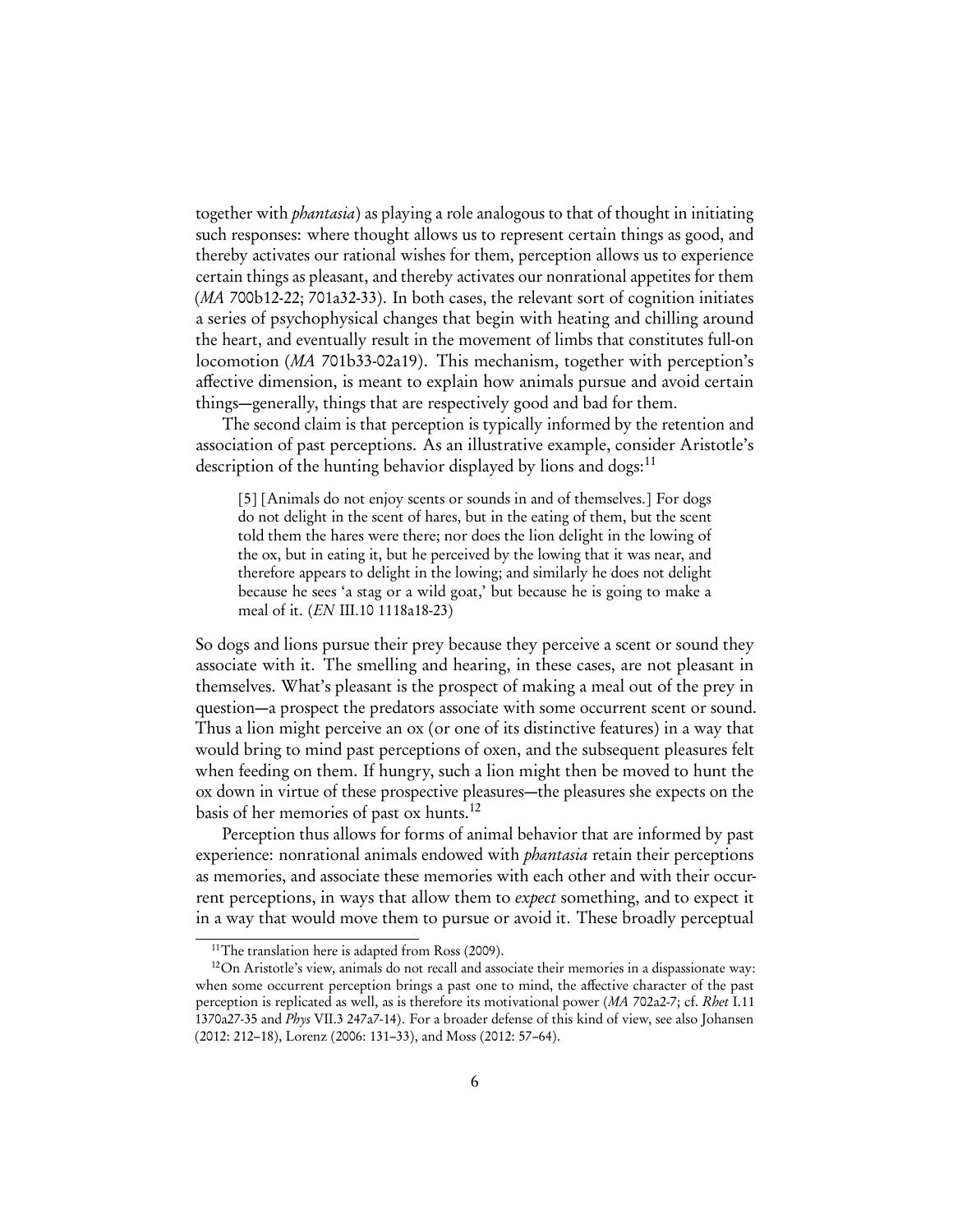together with phantasia) as playing a role analogous to that of thought in initiating such responses: where thought allows us to represent certain things as good, and thereby activates our rational wishes for them, perception allows us to experience certain things as pleasant, and thereby activates our nonrational appetites for them (MA 700b12-22; 701a32-33). In both cases, the relevant sort of cognition initiates a series of psychophysical changes that begin with heating and chilling around the heart, and eventually result in the movement of limbs that constitutes full-on locomotion (MA 701b33-02a19). This mechanism, together with perception's affective dimension, is meant to explain how animals pursue and avoid certain things—generally, things that are respectively good and bad for them.

The second claim is that perception is typically informed by the retention and association of past perceptions. As an illustrative example, consider Aristotle's description of the hunting behavior displayed by lions and dogs:  $11$ 

<span id="page-5-2"></span>[5] [Animals do not enjoy scents or sounds in and of themselves.] For dogs do not delight in the scent of hares, but in the eating of them, but the scent told them the hares were there; nor does the lion delight in the lowing of the ox, but in eating it, but he perceived by the lowing that it was near, and therefore appears to delight in the lowing; and similarly he does not delight because he sees 'a stag or a wild goat,' but because he is going to make a meal of it. (EN III.10 1118a18-23)

So dogs and lions pursue their prey because they perceive a scent or sound they associate with it. The smelling and hearing, in these cases, are not pleasant in themselves. What's pleasant is the prospect of making a meal out of the prey in question—a prospect the predators associate with some occurrent scent or sound. Thus a lion might perceive an ox (or one of its distinctive features) in a way that would bring to mind past perceptions of oxen, and the subsequent pleasures felt when feeding on them. If hungry, such a lion might then be moved to hunt the ox down in virtue of these prospective pleasures—the pleasures she expects on the basis of her memories of past ox hunts.[12](#page-5-1)

Perception thus allows for forms of animal behavior that are informed by past experience: nonrational animals endowed with *phantasia* retain their perceptions as memories, and associate these memories with each other and with their occurrent perceptions, in ways that allow them to expect something, and to expect it in a way that would move them to pursue or avoid it. These broadly perceptual

<span id="page-5-1"></span><span id="page-5-0"></span> $11$ <sup>11</sup>The translation here is adapted from [Ross](#page-30-10) [\(2009\)](#page-30-10).

<sup>&</sup>lt;sup>12</sup>On Aristotle's view, animals do not recall and associate their memories in a dispassionate way: when some occurrent perception brings a past one to mind, the affective character of the past perception is replicated as well, as is therefore its motivational power (MA 702a2-7; cf. Rhet I.11 1370a27-35 and Phys VII.3 247a7-14). For a broader defense of this kind of view, see also [Johansen](#page-29-2) [\(2012:](#page-29-2) 212–18), [Lorenz](#page-29-4) ([2006:](#page-29-4) 131–33), and [Moss](#page-30-9) ([2012:](#page-30-9) 57–64).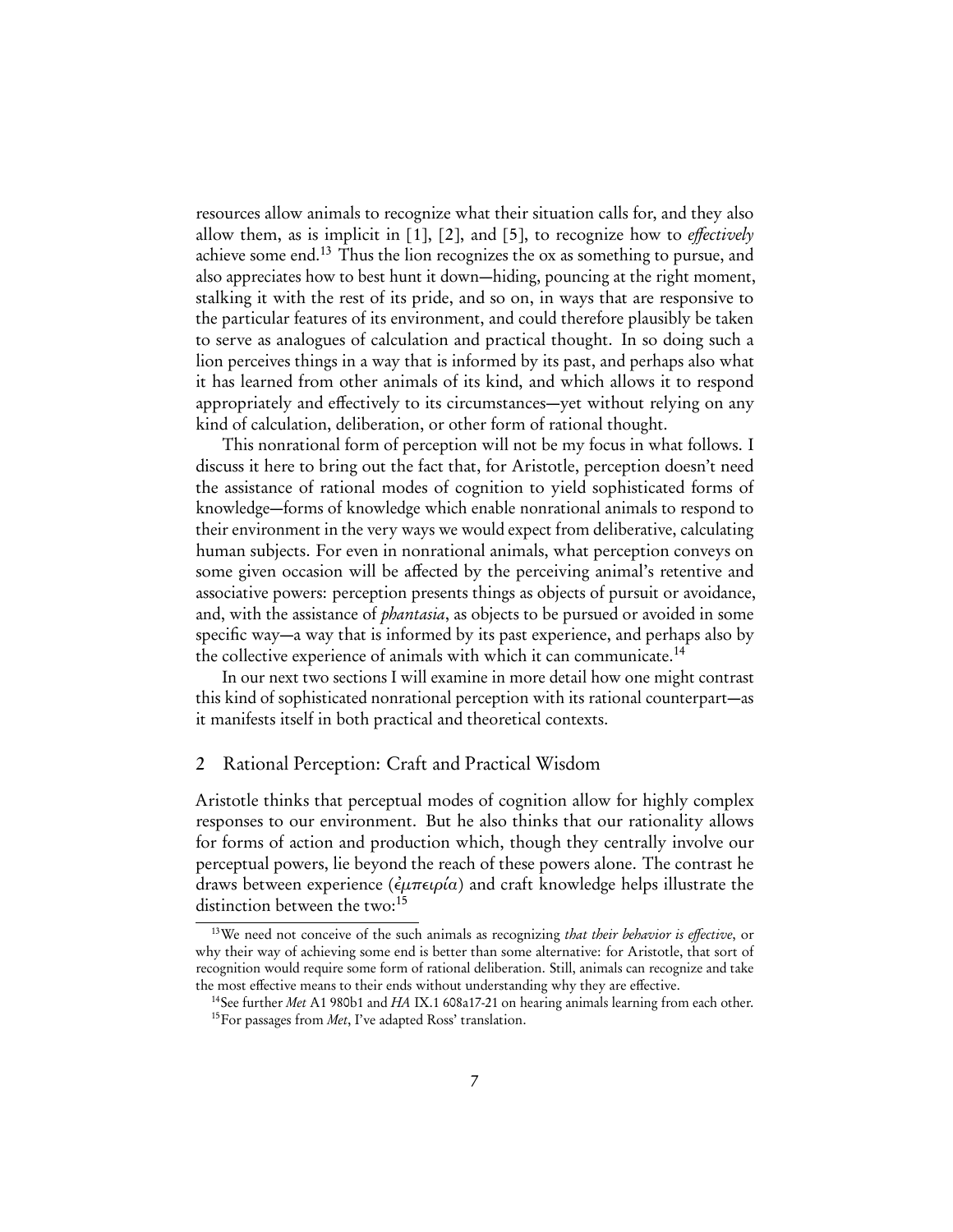resources allow animals to recognize what their situation calls for, and they also allow them, as is implicit in  $[1]$ ,  $[2]$ , and  $[5]$ , to recognize how to *effectively* achieve some end.<sup>[13](#page-6-0)</sup> Thus the lion recognizes the ox as something to pursue, and also appreciates how to best hunt it down—hiding, pouncing at the right moment, stalking it with the rest of its pride, and so on, in ways that are responsive to the particular features of its environment, and could therefore plausibly be taken to serve as analogues of calculation and practical thought. In so doing such a lion perceives things in a way that is informed by its past, and perhaps also what it has learned from other animals of its kind, and which allows it to respond appropriately and effectively to its circumstances—yet without relying on any kind of calculation, deliberation, or other form of rational thought.

This nonrational form of perception will not be my focus in what follows. I discuss it here to bring out the fact that, for Aristotle, perception doesn't need the assistance of rational modes of cognition to yield sophisticated forms of knowledge—forms of knowledge which enable nonrational animals to respond to their environment in the very ways we would expect from deliberative, calculating human subjects. For even in nonrational animals, what perception conveys on some given occasion will be affected by the perceiving animal's retentive and associative powers: perception presents things as objects of pursuit or avoidance, and, with the assistance of *phantasia*, as objects to be pursued or avoided in some specific way—a way that is informed by its past experience, and perhaps also by the collective experience of animals with which it can communicate.<sup>[14](#page-6-1)</sup>

In our next two sections I will examine in more detail how one might contrast this kind of sophisticated nonrational perception with its rational counterpart—as it manifests itself in both practical and theoretical contexts.

#### 2 Rational Perception: Craft and Practical Wisdom

Aristotle thinks that perceptual modes of cognition allow for highly complex responses to our environment. But he also thinks that our rationality allows for forms of action and production which, though they centrally involve our perceptual powers, lie beyond the reach of these powers alone. The contrast he draws between experience ( $\epsilon \mu \pi \epsilon \varphi \iota \alpha$ ) and craft knowledge helps illustrate the distinction between the two:<sup>[15](#page-6-2)</sup>

<span id="page-6-0"></span><sup>&</sup>lt;sup>13</sup>We need not conceive of the such animals as recognizing that their behavior is effective, or why their way of achieving some end is better than some alternative: for Aristotle, that sort of recognition would require some form of rational deliberation. Still, animals can recognize and take the most effective means to their ends without understanding why they are effective.

<span id="page-6-2"></span><span id="page-6-1"></span><sup>&</sup>lt;sup>14</sup>See further Met A1 980b1 and HA IX.1 608a17-21 on hearing animals learning from each other.  $15$ For passages from Met, I've adapted Ross' translation.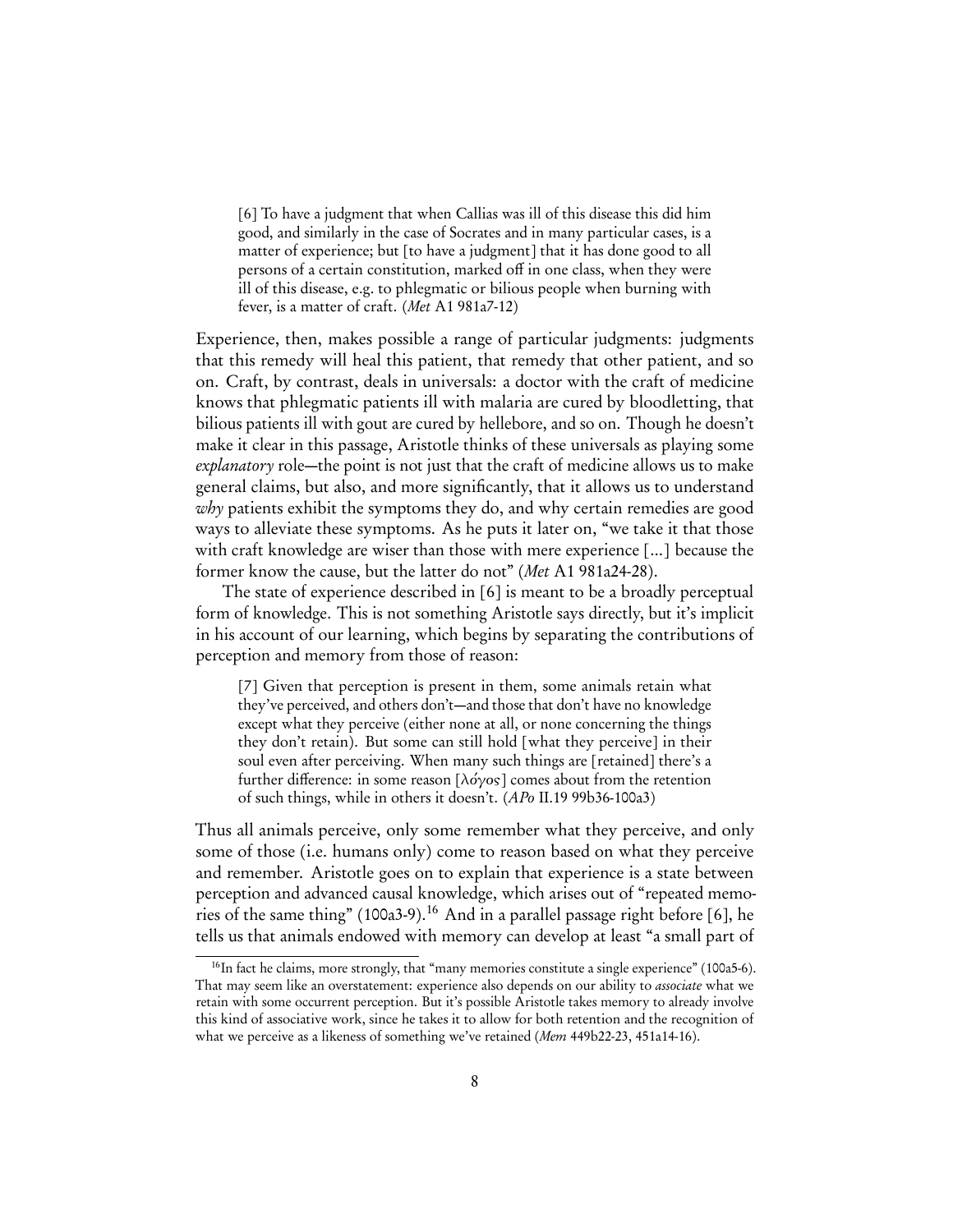<span id="page-7-0"></span>[6] To have a judgment that when Callias was ill of this disease this did him good, and similarly in the case of Socrates and in many particular cases, is a matter of experience; but [to have a judgment] that it has done good to all persons of a certain constitution, marked off in one class, when they were ill of this disease, e.g. to phlegmatic or bilious people when burning with fever, is a matter of craft. (Met A1 981a7-12)

Experience, then, makes possible a range of particular judgments: judgments that this remedy will heal this patient, that remedy that other patient, and so on. Craft, by contrast, deals in universals: a doctor with the craft of medicine knows that phlegmatic patients ill with malaria are cured by bloodletting, that bilious patients ill with gout are cured by hellebore, and so on. Though he doesn't make it clear in this passage, Aristotle thinks of these universals as playing some explanatory role—the point is not just that the craft of medicine allows us to make general claims, but also, and more significantly, that it allows us to understand why patients exhibit the symptoms they do, and why certain remedies are good ways to alleviate these symptoms. As he puts it later on, "we take it that those with craft knowledge are wiser than those with mere experience [...] because the former know the cause, but the latter do not" (Met A1 981a24-28).

The state of experience described in [\[6\]](#page-7-0) is meant to be a broadly perceptual form of knowledge. This is not something Aristotle says directly, but it's implicit in his account of our learning, which begins by separating the contributions of perception and memory from those of reason:

<span id="page-7-2"></span>[7] Given that perception is present in them, some animals retain what they've perceived, and others don't—and those that don't have no knowledge except what they perceive (either none at all, or none concerning the things they don't retain). But some can still hold [what they perceive] in their soul even after perceiving. When many such things are [retained] there's a further difference: in some reason [λόγος] comes about from the retention of such things, while in others it doesn't. (APo II.19 99b36-100a3)

Thus all animals perceive, only some remember what they perceive, and only some of those (i.e. humans only) come to reason based on what they perceive and remember. Aristotle goes on to explain that experience is a state between perception and advanced causal knowledge, which arises out of "repeated memories of the same thing" (100a3-9).[16](#page-7-1) And in a parallel passage right before [\[6\]](#page-7-0), he tells us that animals endowed with memory can develop at least "a small part of

<span id="page-7-1"></span><sup>&</sup>lt;sup>16</sup>In fact he claims, more strongly, that "many memories constitute a single experience" (100a5-6). That may seem like an overstatement: experience also depends on our ability to *associate* what we retain with some occurrent perception. But it's possible Aristotle takes memory to already involve this kind of associative work, since he takes it to allow for both retention and the recognition of what we perceive as a likeness of something we've retained (Mem 449b22-23, 451a14-16).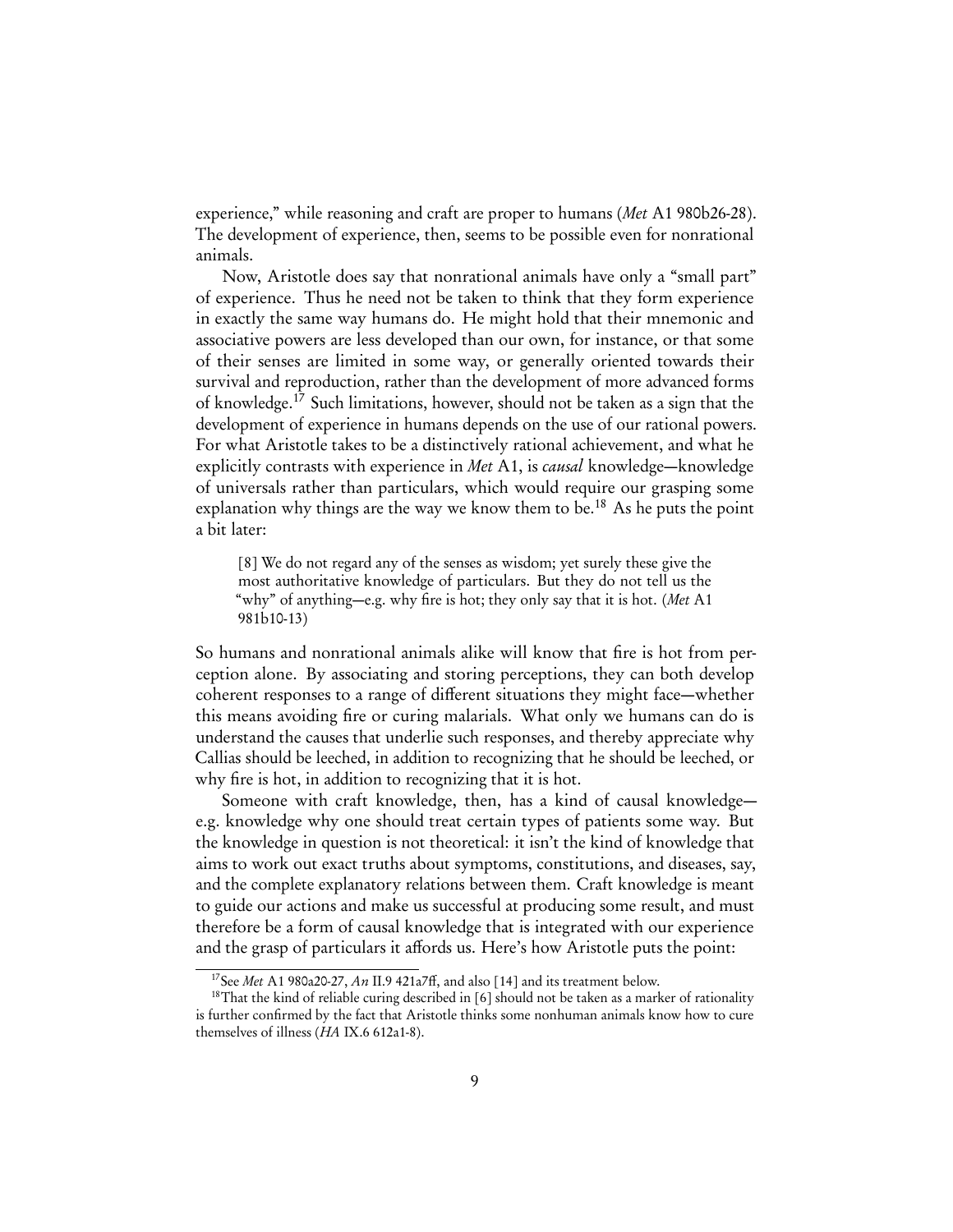experience," while reasoning and craft are proper to humans (Met A1 980b26-28). The development of experience, then, seems to be possible even for nonrational animals.

Now, Aristotle does say that nonrational animals have only a "small part" of experience. Thus he need not be taken to think that they form experience in exactly the same way humans do. He might hold that their mnemonic and associative powers are less developed than our own, for instance, or that some of their senses are limited in some way, or generally oriented towards their survival and reproduction, rather than the development of more advanced forms of knowledge.[17](#page-8-0) Such limitations, however, should not be taken as a sign that the development of experience in humans depends on the use of our rational powers. For what Aristotle takes to be a distinctively rational achievement, and what he explicitly contrasts with experience in Met A1, is *causal* knowledge—knowledge of universals rather than particulars, which would require our grasping some explanation why things are the way we know them to be.<sup>[18](#page-8-1)</sup> As he puts the point a bit later:

<span id="page-8-2"></span>[8] We do not regard any of the senses as wisdom; yet surely these give the most authoritative knowledge of particulars. But they do not tell us the "why" of anything—e.g. why fire is hot; they only say that it is hot. (Met A1 981b10-13)

So humans and nonrational animals alike will know that fire is hot from perception alone. By associating and storing perceptions, they can both develop coherent responses to a range of different situations they might face—whether this means avoiding fire or curing malarials. What only we humans can do is understand the causes that underlie such responses, and thereby appreciate why Callias should be leeched, in addition to recognizing that he should be leeched, or why fire is hot, in addition to recognizing that it is hot.

Someone with craft knowledge, then, has a kind of causal knowledge e.g. knowledge why one should treat certain types of patients some way. But the knowledge in question is not theoretical: it isn't the kind of knowledge that aims to work out exact truths about symptoms, constitutions, and diseases, say, and the complete explanatory relations between them. Craft knowledge is meant to guide our actions and make us successful at producing some result, and must therefore be a form of causal knowledge that is integrated with our experience and the grasp of particulars it affords us. Here's how Aristotle puts the point:

<span id="page-8-1"></span><span id="page-8-0"></span><sup>&</sup>lt;sup>17</sup>See Met A1 980a20-27, An II.9 421a7ff, and also [\[14\]](#page-14-0) and its treatment below.

<sup>&</sup>lt;sup>18</sup>That the kind of reliable curing described in [\[6\]](#page-7-0) should not be taken as a marker of rationality is further confirmed by the fact that Aristotle thinks some nonhuman animals know how to cure themselves of illness (HA IX.6 612a1-8).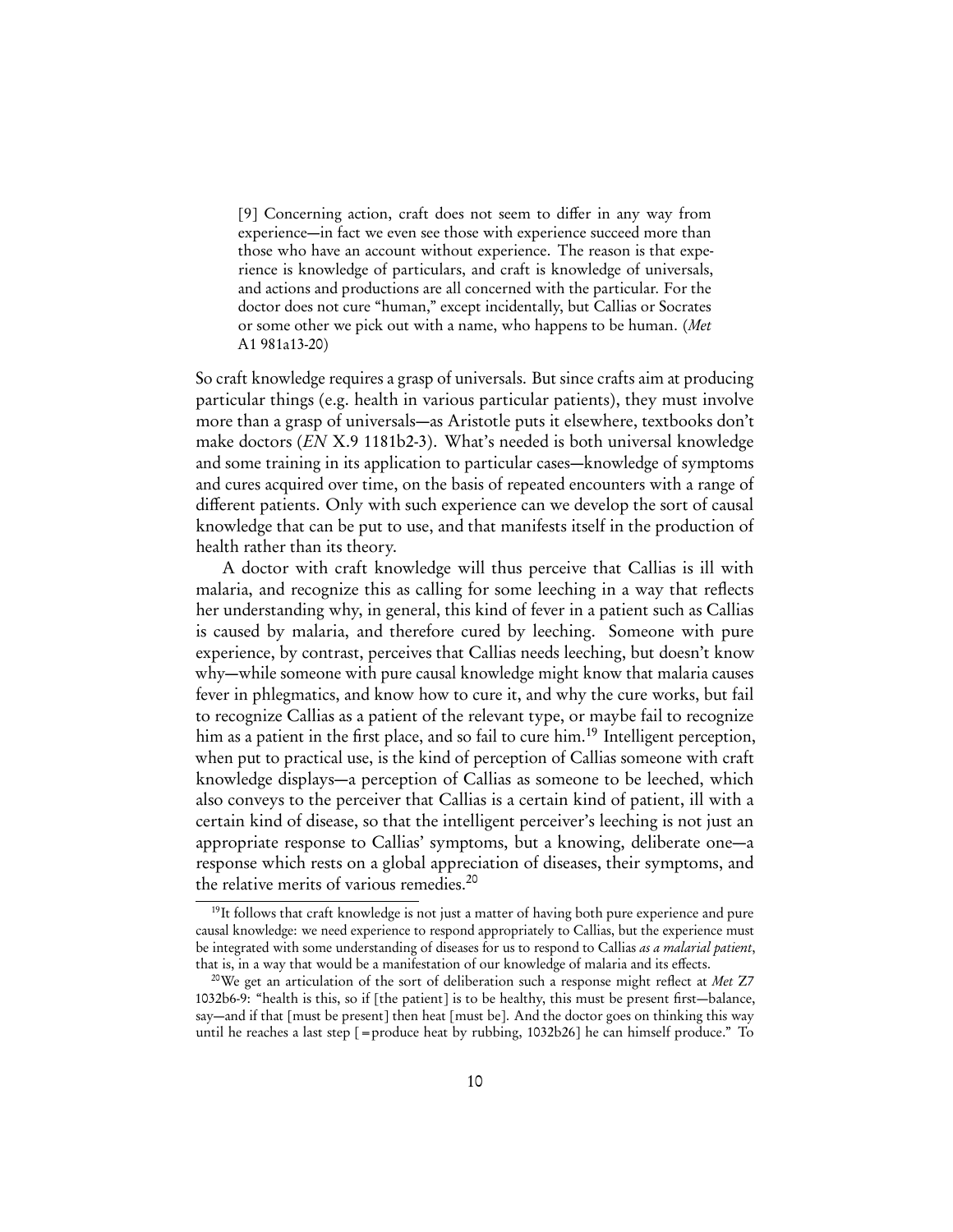<span id="page-9-2"></span>[9] Concerning action, craft does not seem to differ in any way from experience—in fact we even see those with experience succeed more than those who have an account without experience. The reason is that experience is knowledge of particulars, and craft is knowledge of universals, and actions and productions are all concerned with the particular. For the doctor does not cure "human," except incidentally, but Callias or Socrates or some other we pick out with a name, who happens to be human. (Met A1 981a13-20)

So craft knowledge requires a grasp of universals. But since crafts aim at producing particular things (e.g. health in various particular patients), they must involve more than a grasp of universals—as Aristotle puts it elsewhere, textbooks don't make doctors (EN X.9 1181b2-3). What's needed is both universal knowledge and some training in its application to particular cases—knowledge of symptoms and cures acquired over time, on the basis of repeated encounters with a range of different patients. Only with such experience can we develop the sort of causal knowledge that can be put to use, and that manifests itself in the production of health rather than its theory.

A doctor with craft knowledge will thus perceive that Callias is ill with malaria, and recognize this as calling for some leeching in a way that reflects her understanding why, in general, this kind of fever in a patient such as Callias is caused by malaria, and therefore cured by leeching. Someone with pure experience, by contrast, perceives that Callias needs leeching, but doesn't know why—while someone with pure causal knowledge might know that malaria causes fever in phlegmatics, and know how to cure it, and why the cure works, but fail to recognize Callias as a patient of the relevant type, or maybe fail to recognize him as a patient in the first place, and so fail to cure him.<sup>[19](#page-9-0)</sup> Intelligent perception, when put to practical use, is the kind of perception of Callias someone with craft knowledge displays—a perception of Callias as someone to be leeched, which also conveys to the perceiver that Callias is a certain kind of patient, ill with a certain kind of disease, so that the intelligent perceiver's leeching is not just an appropriate response to Callias' symptoms, but a knowing, deliberate one—a response which rests on a global appreciation of diseases, their symptoms, and the relative merits of various remedies.[20](#page-9-1)

<span id="page-9-0"></span><sup>&</sup>lt;sup>19</sup>It follows that craft knowledge is not just a matter of having both pure experience and pure causal knowledge: we need experience to respond appropriately to Callias, but the experience must be integrated with some understanding of diseases for us to respond to Callias as a malarial patient, that is, in a way that would be a manifestation of our knowledge of malaria and its effects.

<span id="page-9-1"></span><sup>&</sup>lt;sup>20</sup>We get an articulation of the sort of deliberation such a response might reflect at *Met*  $Z7$ 1032b6-9: "health is this, so if [the patient] is to be healthy, this must be present first—balance, say—and if that [must be present] then heat [must be]. And the doctor goes on thinking this way until he reaches a last step [=produce heat by rubbing, 1032b26] he can himself produce." To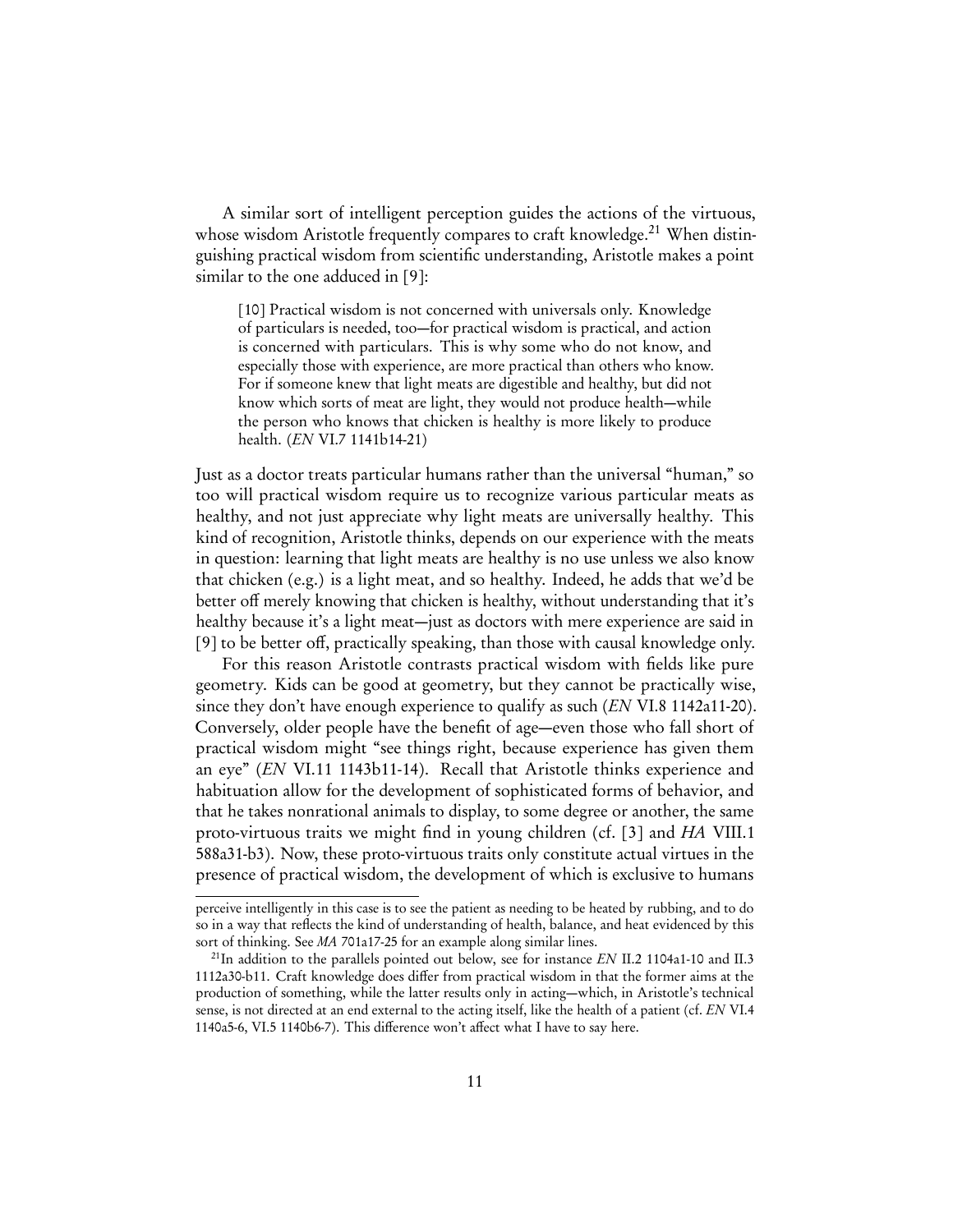A similar sort of intelligent perception guides the actions of the virtuous, whose wisdom Aristotle frequently compares to craft knowledge.<sup>[21](#page-10-0)</sup> When distinguishing practical wisdom from scientific understanding, Aristotle makes a point similar to the one adduced in [\[9\]](#page-9-2):

<span id="page-10-1"></span>[10] Practical wisdom is not concerned with universals only. Knowledge of particulars is needed, too—for practical wisdom is practical, and action is concerned with particulars. This is why some who do not know, and especially those with experience, are more practical than others who know. For if someone knew that light meats are digestible and healthy, but did not know which sorts of meat are light, they would not produce health—while the person who knows that chicken is healthy is more likely to produce health. (EN VI.7 1141b14-21)

Just as a doctor treats particular humans rather than the universal "human," so too will practical wisdom require us to recognize various particular meats as healthy, and not just appreciate why light meats are universally healthy. This kind of recognition, Aristotle thinks, depends on our experience with the meats in question: learning that light meats are healthy is no use unless we also know that chicken (e.g.) is a light meat, and so healthy. Indeed, he adds that we'd be better off merely knowing that chicken is healthy, without understanding that it's healthy because it's a light meat—just as doctors with mere experience are said in [\[9\]](#page-9-2) to be better off, practically speaking, than those with causal knowledge only.

For this reason Aristotle contrasts practical wisdom with fields like pure geometry. Kids can be good at geometry, but they cannot be practically wise, since they don't have enough experience to qualify as such (*EN* VI.8 1142a11-20). Conversely, older people have the benefit of age—even those who fall short of practical wisdom might "see things right, because experience has given them an eye" (EN VI.11 1143b11-14). Recall that Aristotle thinks experience and habituation allow for the development of sophisticated forms of behavior, and that he takes nonrational animals to display, to some degree or another, the same proto-virtuous traits we might find in young children (cf. [\[3\]](#page-3-3) and HA VIII.1 588a31-b3). Now, these proto-virtuous traits only constitute actual virtues in the presence of practical wisdom, the development of which is exclusive to humans

perceive intelligently in this case is to see the patient as needing to be heated by rubbing, and to do so in a way that reflects the kind of understanding of health, balance, and heat evidenced by this sort of thinking. See MA 701a17-25 for an example along similar lines.

<span id="page-10-0"></span><sup>&</sup>lt;sup>21</sup>In addition to the parallels pointed out below, see for instance EN II.2 1104a1-10 and II.3 1112a30-b11. Craft knowledge does differ from practical wisdom in that the former aims at the production of something, while the latter results only in acting—which, in Aristotle's technical sense, is not directed at an end external to the acting itself, like the health of a patient (cf. EN VI.4 1140a5-6, VI.5 1140b6-7). This difference won't affect what I have to say here.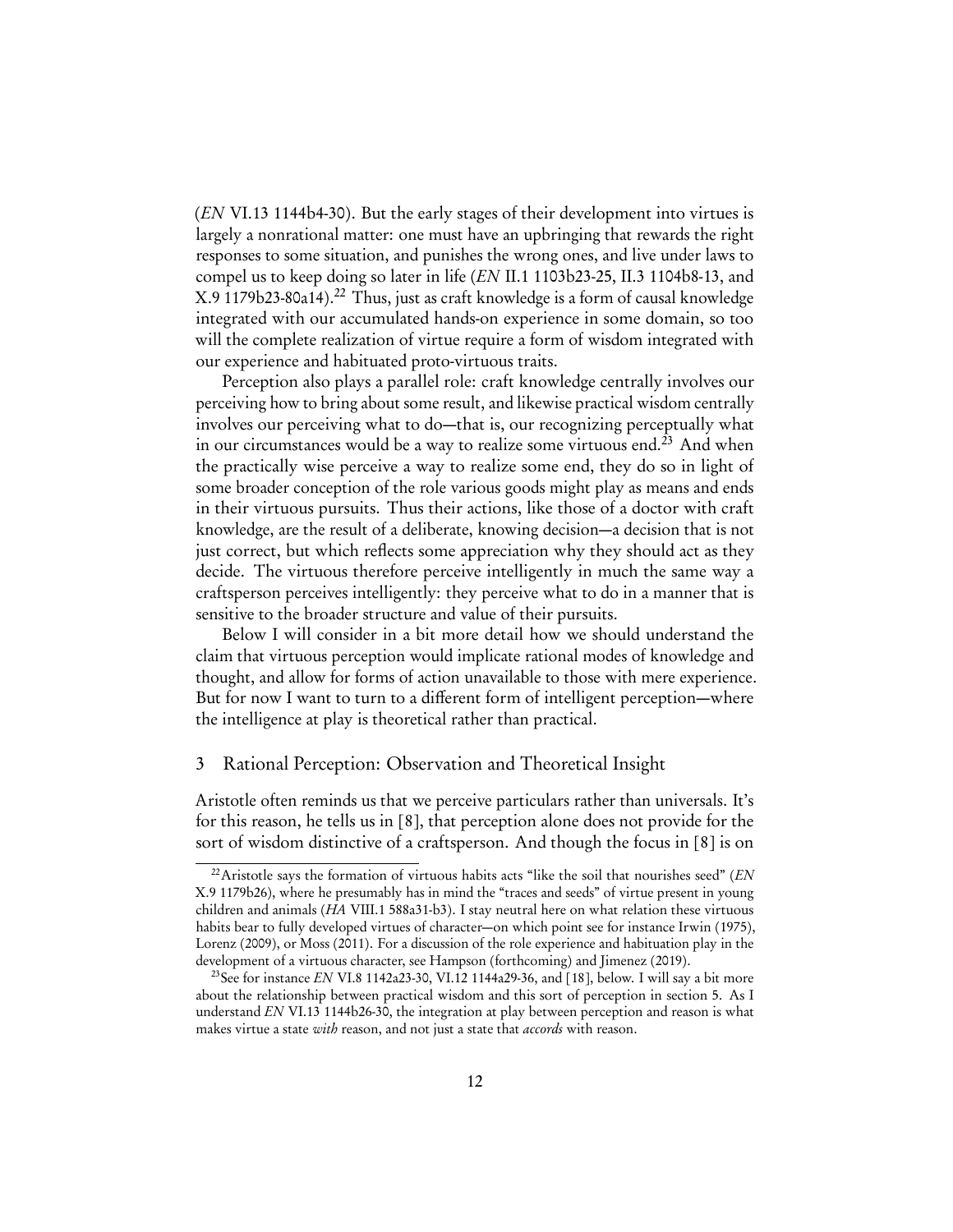(EN VI.13 1144b4-30). But the early stages of their development into virtues is largely a nonrational matter: one must have an upbringing that rewards the right responses to some situation, and punishes the wrong ones, and live under laws to compel us to keep doing so later in life (EN II.1 1103b23-25, II.3 1104b8-13, and X.9 1179b23-80a14).<sup>[22](#page-11-0)</sup> Thus, just as craft knowledge is a form of causal knowledge integrated with our accumulated hands-on experience in some domain, so too will the complete realization of virtue require a form of wisdom integrated with our experience and habituated proto-virtuous traits.

Perception also plays a parallel role: craft knowledge centrally involves our perceiving how to bring about some result, and likewise practical wisdom centrally involves our perceiving what to do—that is, our recognizing perceptually what in our circumstances would be a way to realize some virtuous end.<sup>[23](#page-11-1)</sup> And when the practically wise perceive a way to realize some end, they do so in light of some broader conception of the role various goods might play as means and ends in their virtuous pursuits. Thus their actions, like those of a doctor with craft knowledge, are the result of a deliberate, knowing decision—a decision that is not just correct, but which reflects some appreciation why they should act as they decide. The virtuous therefore perceive intelligently in much the same way a craftsperson perceives intelligently: they perceive what to do in a manner that is sensitive to the broader structure and value of their pursuits.

Below I will consider in a bit more detail how we should understand the claim that virtuous perception would implicate rational modes of knowledge and thought, and allow for forms of action unavailable to those with mere experience. But for now I want to turn to a different form of intelligent perception—where the intelligence at play is theoretical rather than practical.

#### 3 Rational Perception: Observation and Theoretical Insight

Aristotle often reminds us that we perceive particulars rather than universals. It's for this reason, he tells us in [\[8\]](#page-8-2), that perception alone does not provide for the sort of wisdom distinctive of a craftsperson. And though the focus in [\[8\]](#page-8-2) is on

<span id="page-11-0"></span> $22$ Aristotle says the formation of virtuous habits acts "like the soil that nourishes seed" (EN X.9 1179b26), where he presumably has in mind the "traces and seeds" of virtue present in young children and animals (HA VIII.1 588a31-b3). I stay neutral here on what relation these virtuous habits bear to fully developed virtues of character—on which point see for instance [Irwin](#page-29-11) ([1975\)](#page-29-11), [Lorenz](#page-30-11) ([2009\)](#page-30-11), or [Moss](#page-30-12) [\(2011\)](#page-30-12). For a discussion of the role experience and habituation play in the development of a virtuous character, see [Hampson](#page-29-12) [\( forthcoming\)](#page-29-12) and [Jimenez](#page-29-13) [\(2019\)](#page-29-13).

<span id="page-11-1"></span><sup>&</sup>lt;sup>23</sup>See for instance EN VI.8 1142a23-30, VI.12 1144a29-36, and [\[18\]](#page-23-0), below. I will say a bit more about the relationship between practical wisdom and this sort of perception in section [5.](#page-22-0) As I understand EN VI.13 1144b26-30, the integration at play between perception and reason is what makes virtue a state with reason, and not just a state that *accords* with reason.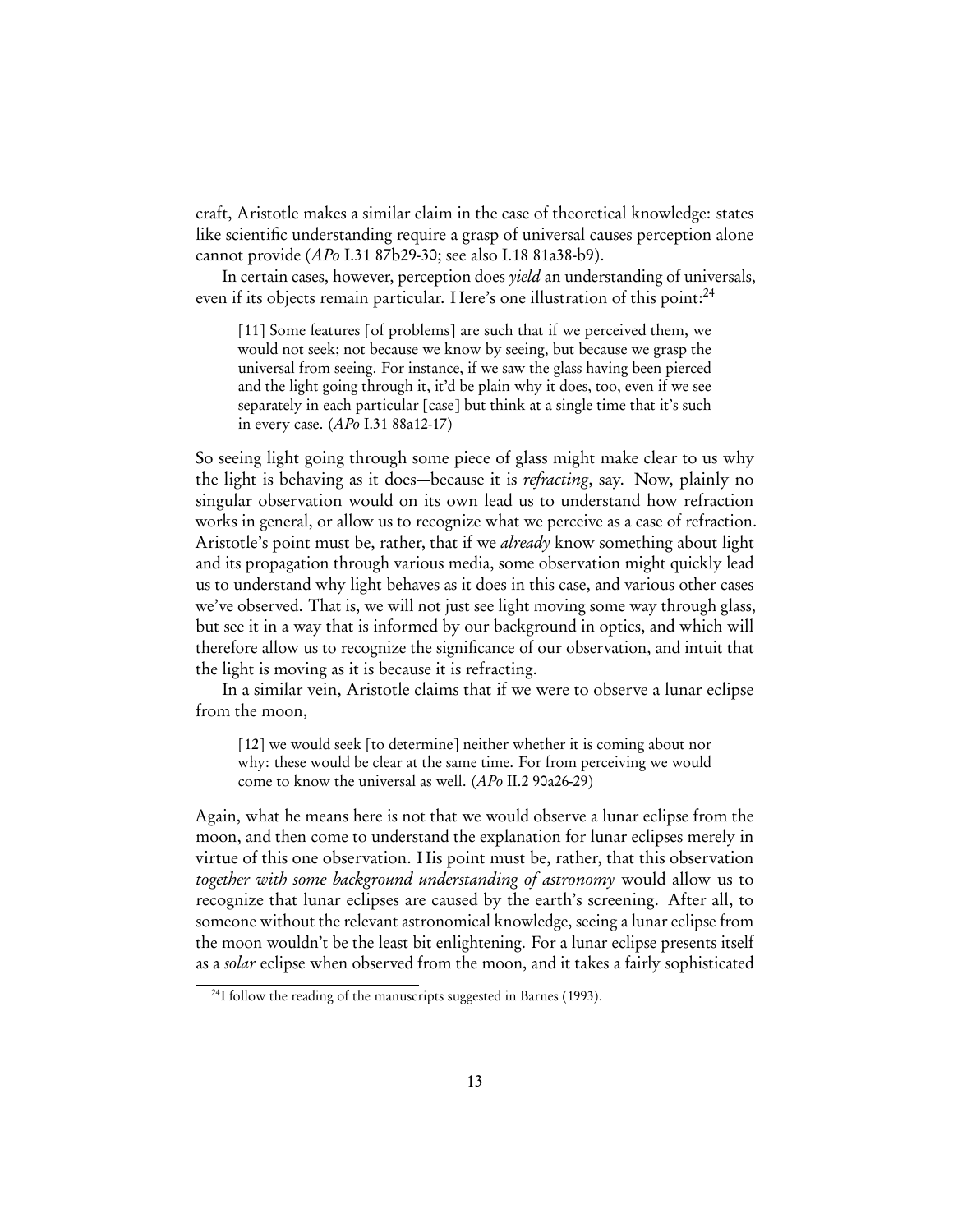craft, Aristotle makes a similar claim in the case of theoretical knowledge: states like scientific understanding require a grasp of universal causes perception alone cannot provide (APo I.31 87b29-30; see also I.18 81a38-b9).

In certain cases, however, perception does *yield* an understanding of universals, even if its objects remain particular. Here's one illustration of this point:<sup>[24](#page-12-0)</sup>

[11] Some features [of problems] are such that if we perceived them, we would not seek; not because we know by seeing, but because we grasp the universal from seeing. For instance, if we saw the glass having been pierced and the light going through it, it'd be plain why it does, too, even if we see separately in each particular [case] but think at a single time that it's such in every case. (APo I.31 88a12-17)

So seeing light going through some piece of glass might make clear to us why the light is behaving as it does—because it is refracting, say. Now, plainly no singular observation would on its own lead us to understand how refraction works in general, or allow us to recognize what we perceive as a case of refraction. Aristotle's point must be, rather, that if we *already* know something about light and its propagation through various media, some observation might quickly lead us to understand why light behaves as it does in this case, and various other cases we've observed. That is, we will not just see light moving some way through glass, but see it in a way that is informed by our background in optics, and which will therefore allow us to recognize the significance of our observation, and intuit that the light is moving as it is because it is refracting.

In a similar vein, Aristotle claims that if we were to observe a lunar eclipse from the moon,

[12] we would seek [to determine] neither whether it is coming about nor why: these would be clear at the same time. For from perceiving we would come to know the universal as well. (APo II.2 90a26-29)

Again, what he means here is not that we would observe a lunar eclipse from the moon, and then come to understand the explanation for lunar eclipses merely in virtue of this one observation. His point must be, rather, that this observation together with some background understanding of astronomy would allow us to recognize that lunar eclipses are caused by the earth's screening. After all, to someone without the relevant astronomical knowledge, seeing a lunar eclipse from the moon wouldn't be the least bit enlightening. For a lunar eclipse presents itself as a solar eclipse when observed from the moon, and it takes a fairly sophisticated

<span id="page-12-0"></span><sup>&</sup>lt;sup>24</sup>I follow the reading of the manuscripts suggested in [Barnes](#page-28-10) [\(1993\)](#page-28-10).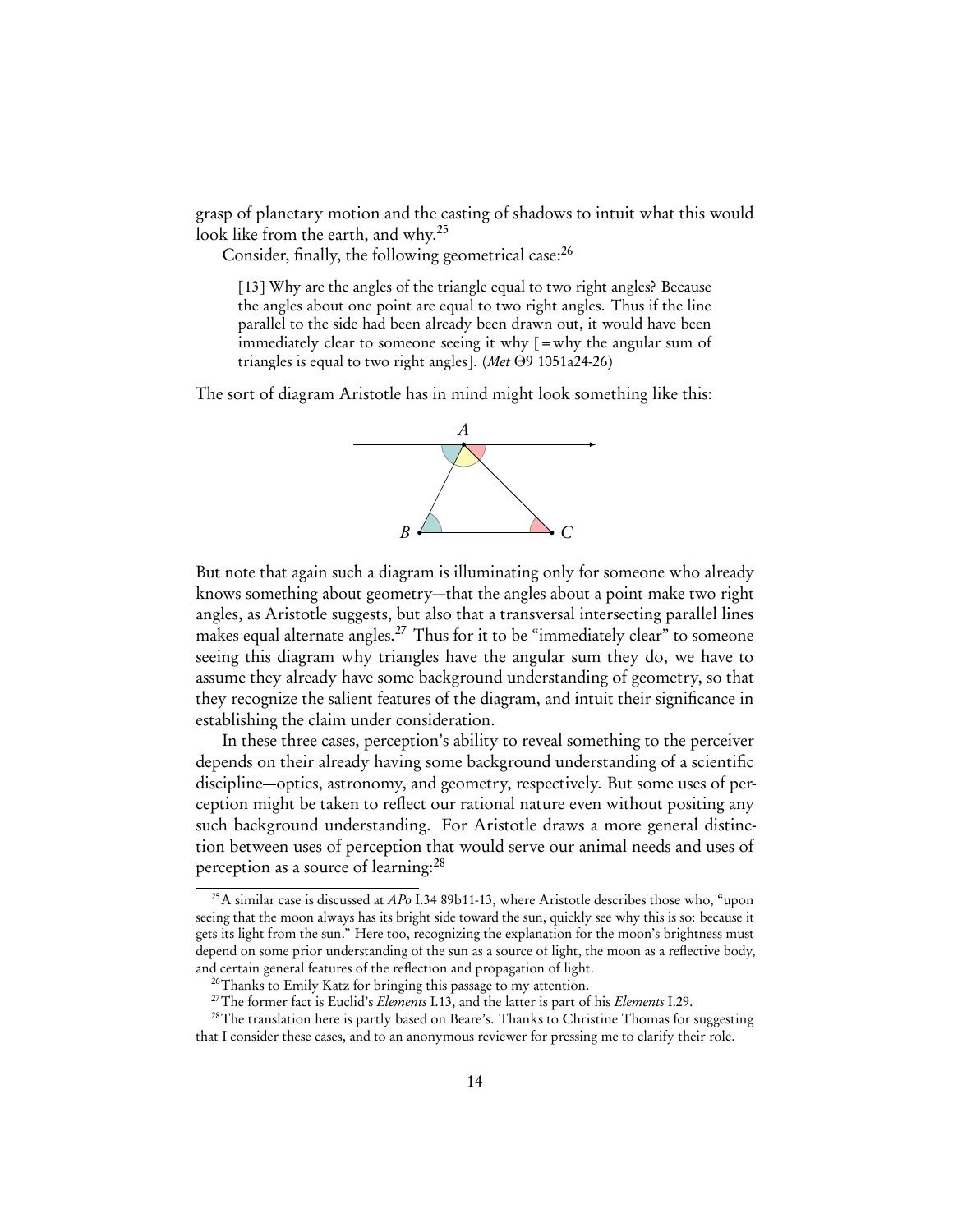grasp of planetary motion and the casting of shadows to intuit what this would look like from the earth, and why.[25](#page-13-0)

Consider, finally, the following geometrical case:<sup>[26](#page-13-1)</sup>

[13] Why are the angles of the triangle equal to two right angles? Because the angles about one point are equal to two right angles. Thus if the line parallel to the side had been already been drawn out, it would have been immediately clear to someone seeing it why  $\mathbf{r} = \mathbf{w}$  the angular sum of triangles is equal to two right angles]. (Met *Θ*9 1051a24-26)

The sort of diagram Aristotle has in mind might look something like this:



But note that again such a diagram is illuminating only for someone who already knows something about geometry—that the angles about a point make two right angles, as Aristotle suggests, but also that a transversal intersecting parallel lines makes equal alternate angles.<sup>[27](#page-13-2)</sup> Thus for it to be "immediately clear" to someone seeing this diagram why triangles have the angular sum they do, we have to assume they already have some background understanding of geometry, so that they recognize the salient features of the diagram, and intuit their significance in establishing the claim under consideration.

In these three cases, perception's ability to reveal something to the perceiver depends on their already having some background understanding of a scientific discipline—optics, astronomy, and geometry, respectively. But some uses of perception might be taken to reflect our rational nature even without positing any such background understanding. For Aristotle draws a more general distinction between uses of perception that would serve our animal needs and uses of perception as a source of learning:<sup>[28](#page-13-3)</sup>

<span id="page-13-0"></span><sup>&</sup>lt;sup>25</sup>A similar case is discussed at  $APo$  I.34 89b11-13, where Aristotle describes those who, "upon seeing that the moon always has its bright side toward the sun, quickly see why this is so: because it gets its light from the sun." Here too, recognizing the explanation for the moon's brightness must depend on some prior understanding of the sun as a source of light, the moon as a reflective body, and certain general features of the reflection and propagation of light.

<span id="page-13-1"></span><sup>&</sup>lt;sup>26</sup>Thanks to Emily Katz for bringing this passage to my attention.

<span id="page-13-3"></span><span id="page-13-2"></span> $27$ The former fact is Euclid's *Elements* I.13, and the latter is part of his *Elements* I.29.

<sup>&</sup>lt;sup>28</sup>The translation here is partly based on Beare's. Thanks to Christine Thomas for suggesting that I consider these cases, and to an anonymous reviewer for pressing me to clarify their role.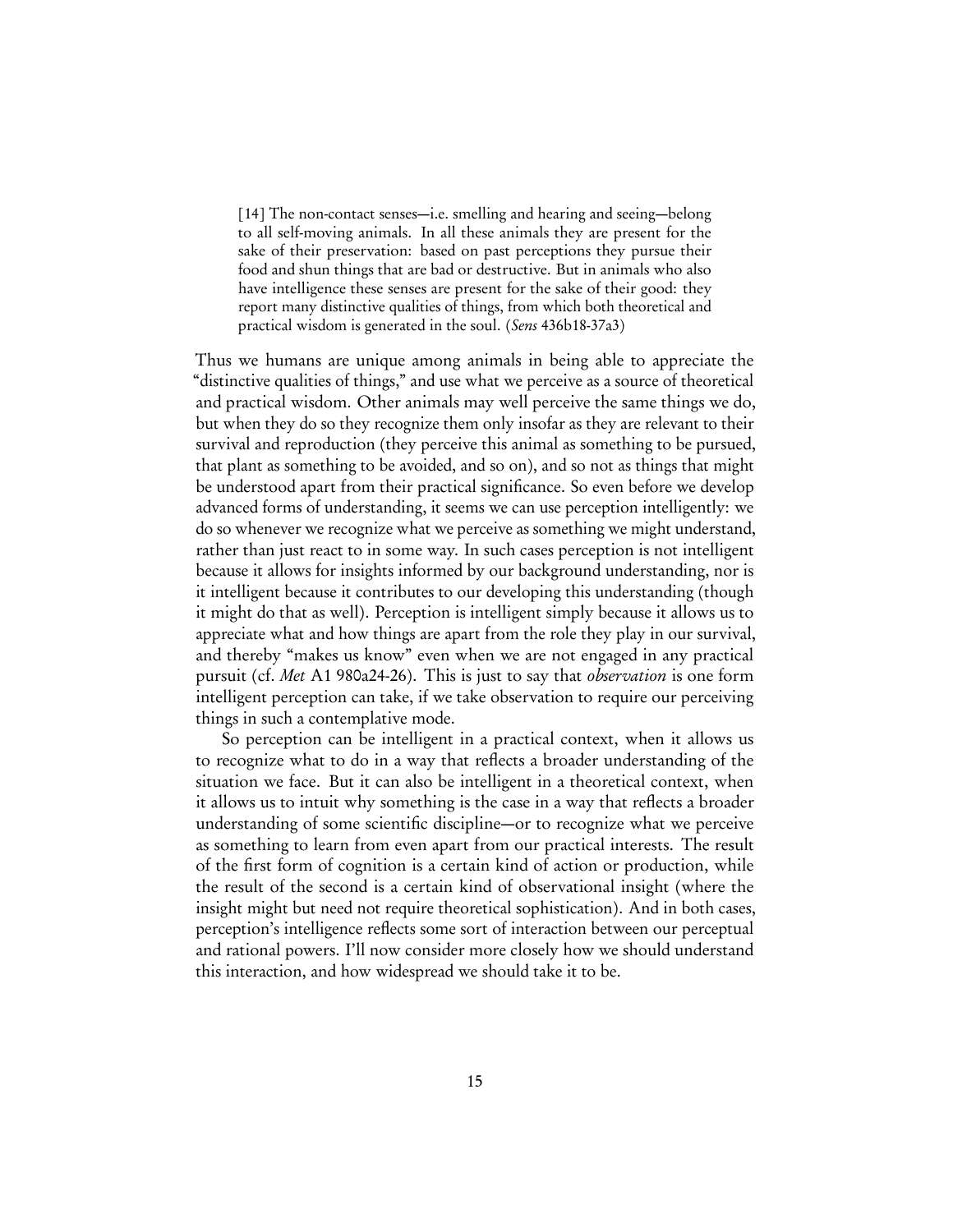<span id="page-14-0"></span>[14] The non-contact senses—i.e. smelling and hearing and seeing—belong to all self-moving animals. In all these animals they are present for the sake of their preservation: based on past perceptions they pursue their food and shun things that are bad or destructive. But in animals who also have intelligence these senses are present for the sake of their good: they report many distinctive qualities of things, from which both theoretical and practical wisdom is generated in the soul. (Sens 436b18-37a3)

Thus we humans are unique among animals in being able to appreciate the "distinctive qualities of things," and use what we perceive as a source of theoretical and practical wisdom. Other animals may well perceive the same things we do, but when they do so they recognize them only insofar as they are relevant to their survival and reproduction (they perceive this animal as something to be pursued, that plant as something to be avoided, and so on), and so not as things that might be understood apart from their practical significance. So even before we develop advanced forms of understanding, it seems we can use perception intelligently: we do so whenever we recognize what we perceive as something we might understand, rather than just react to in some way. In such cases perception is not intelligent because it allows for insights informed by our background understanding, nor is it intelligent because it contributes to our developing this understanding ( though it might do that as well). Perception is intelligent simply because it allows us to appreciate what and how things are apart from the role they play in our survival, and thereby "makes us know" even when we are not engaged in any practical pursuit (cf. Met A1 980a24-26). This is just to say that observation is one form intelligent perception can take, if we take observation to require our perceiving things in such a contemplative mode.

So perception can be intelligent in a practical context, when it allows us to recognize what to do in a way that reflects a broader understanding of the situation we face. But it can also be intelligent in a theoretical context, when it allows us to intuit why something is the case in a way that reflects a broader understanding of some scientific discipline—or to recognize what we perceive as something to learn from even apart from our practical interests. The result of the first form of cognition is a certain kind of action or production, while the result of the second is a certain kind of observational insight (where the insight might but need not require theoretical sophistication). And in both cases, perception's intelligence reflects some sort of interaction between our perceptual and rational powers. I'll now consider more closely how we should understand this interaction, and how widespread we should take it to be.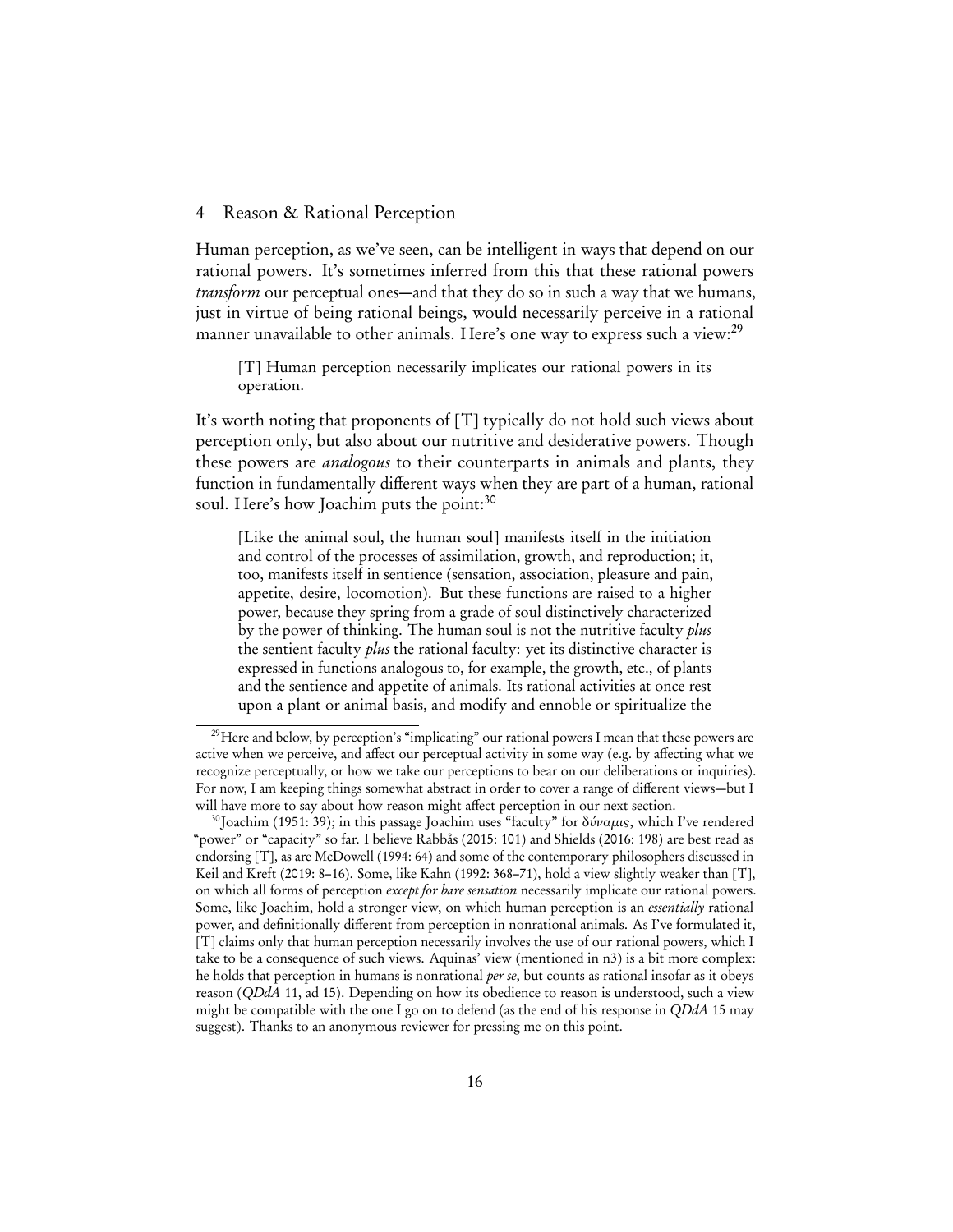### 4 Reason & Rational Perception

Human perception, as we've seen, can be intelligent in ways that depend on our rational powers. It's sometimes inferred from this that these rational powers transform our perceptual ones—and that they do so in such a way that we humans, just in virtue of being rational beings, would necessarily perceive in a rational manner unavailable to other animals. Here's one way to express such a view:<sup>[29](#page-15-0)</sup>

[T] Human perception necessarily implicates our rational powers in its operation.

It's worth noting that proponents of [T] typically do not hold such views about perception only, but also about our nutritive and desiderative powers. Though these powers are *analogous* to their counterparts in animals and plants, they function in fundamentally different ways when they are part of a human, rational soul. Here's how Joachim puts the point:<sup>[30](#page-15-1)</sup>

[Like the animal soul, the human soul] manifests itself in the initiation and control of the processes of assimilation, growth, and reproduction; it, too, manifests itself in sentience (sensation, association, pleasure and pain, appetite, desire, locomotion). But these functions are raised to a higher power, because they spring from a grade of soul distinctively characterized by the power of thinking. The human soul is not the nutritive faculty plus the sentient faculty *plus* the rational faculty: yet its distinctive character is expressed in functions analogous to, for example, the growth, etc., of plants and the sentience and appetite of animals. Its rational activities at once rest upon a plant or animal basis, and modify and ennoble or spiritualize the

<span id="page-15-0"></span><sup>&</sup>lt;sup>29</sup>Here and below, by perception's "implicating" our rational powers I mean that these powers are active when we perceive, and affect our perceptual activity in some way (e.g. by affecting what we recognize perceptually, or how we take our perceptions to bear on our deliberations or inquiries). For now, I am keeping things somewhat abstract in order to cover a range of different views—but I will have more to say about how reason might affect perception in our next section.

<span id="page-15-1"></span><sup>&</sup>lt;sup>30</sup>[Joachim](#page-29-5) ([1951:](#page-29-5) 39); in this passage Joachim uses "faculty" for δύναμις, which I've rendered "power" or "capacity" so far. I believe [Rabbås](#page-30-5) [\(2015:](#page-30-5) 101) and [Shields](#page-30-6) [\(2016:](#page-30-6) 198) are best read as endorsing [T], as are [McDowell](#page-30-7) ([1994:](#page-30-7) 64) and some of the contemporary philosophers discussed in [Keil and Kreft](#page-29-7) [\(2019:](#page-29-7) 8–16). Some, like [Kahn](#page-29-6) ([1992:](#page-29-6) 368–71), hold a view slightly weaker than [T], on which all forms of perception *except for bare sensation* necessarily implicate our rational powers. Some, like Joachim, hold a stronger view, on which human perception is an essentially rational power, and definitionally different from perception in nonrational animals. As I've formulated it, [T] claims only that human perception necessarily involves the use of our rational powers, which I take to be a consequence of such views. Aquinas' view (mentioned in [n3\)](#page-1-0) is a bit more complex: he holds that perception in humans is nonrational per se, but counts as rational insofar as it obeys reason (QDdA 11, ad 15). Depending on how its obedience to reason is understood, such a view might be compatible with the one I go on to defend (as the end of his response in  $QDdA$  15 may suggest). Thanks to an anonymous reviewer for pressing me on this point.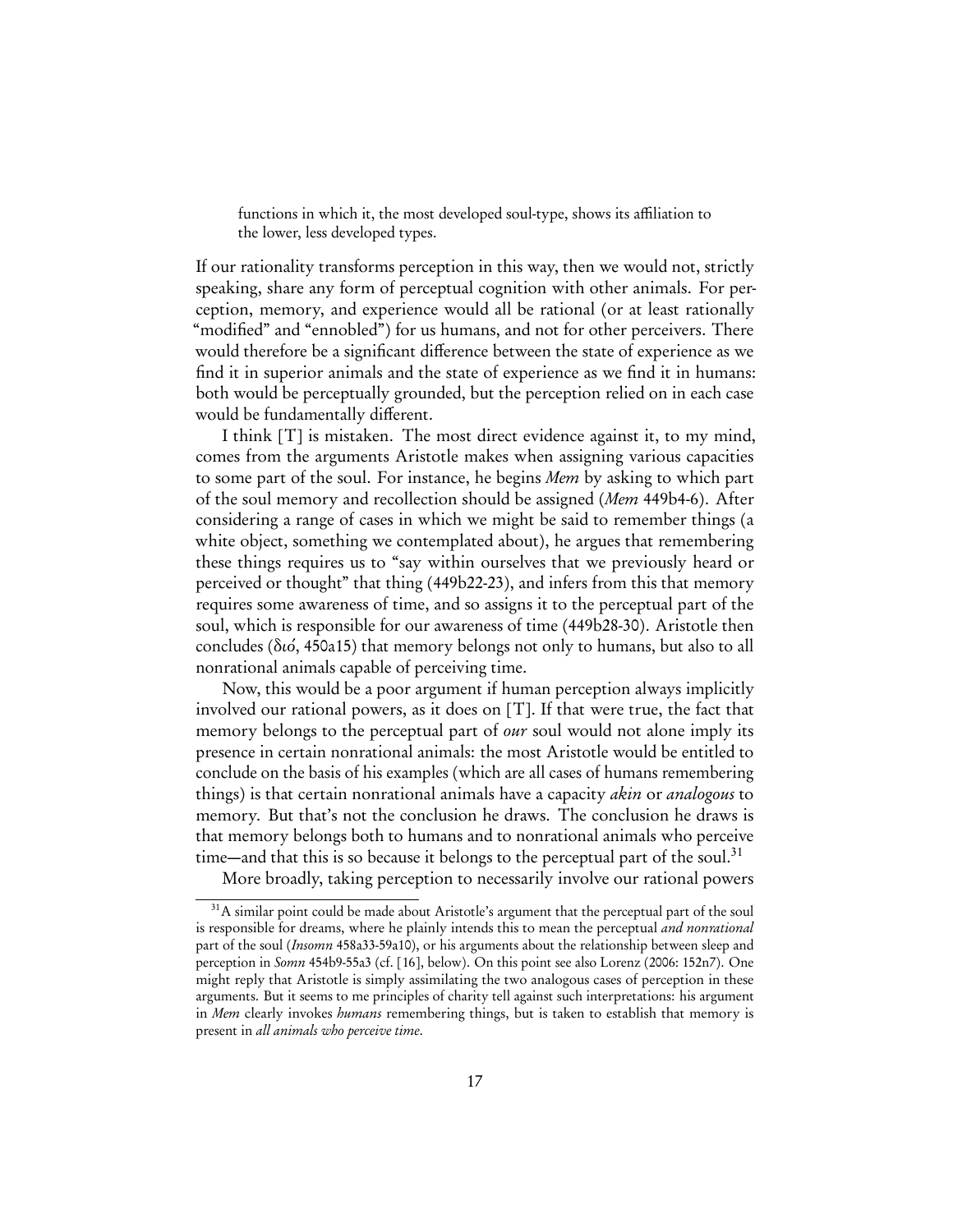functions in which it, the most developed soul-type, shows its affiliation to the lower, less developed types.

If our rationality transforms perception in this way, then we would not, strictly speaking, share any form of perceptual cognition with other animals. For perception, memory, and experience would all be rational (or at least rationally "modified" and "ennobled") for us humans, and not for other perceivers. There would therefore be a significant difference between the state of experience as we find it in superior animals and the state of experience as we find it in humans: both would be perceptually grounded, but the perception relied on in each case would be fundamentally different.

I think [T] is mistaken. The most direct evidence against it, to my mind, comes from the arguments Aristotle makes when assigning various capacities to some part of the soul. For instance, he begins Mem by asking to which part of the soul memory and recollection should be assigned (Mem 449b4-6). After considering a range of cases in which we might be said to remember things (a white object, something we contemplated about), he argues that remembering these things requires us to "say within ourselves that we previously heard or perceived or thought" that thing (449b22-23), and infers from this that memory requires some awareness of time, and so assigns it to the perceptual part of the soul, which is responsible for our awareness of time (449b28-30). Aristotle then concludes (διό, 450a15) that memory belongs not only to humans, but also to all nonrational animals capable of perceiving time.

Now, this would be a poor argument if human perception always implicitly involved our rational powers, as it does on [T]. If that were true, the fact that memory belongs to the perceptual part of *our* soul would not alone imply its presence in certain nonrational animals: the most Aristotle would be entitled to conclude on the basis of his examples (which are all cases of humans remembering things) is that certain nonrational animals have a capacity *akin* or *analogous* to memory. But that's not the conclusion he draws. The conclusion he draws is that memory belongs both to humans and to nonrational animals who perceive time—and that this is so because it belongs to the perceptual part of the soul.<sup>[31](#page-16-0)</sup>

More broadly, taking perception to necessarily involve our rational powers

<span id="page-16-0"></span><sup>&</sup>lt;sup>31</sup>A similar point could be made about Aristotle's argument that the perceptual part of the soul is responsible for dreams, where he plainly intends this to mean the perceptual and nonrational part of the soul (Insomn 458a33-59a10), or his arguments about the relationship between sleep and perception in Somn 454b9-55a3 (cf. [\[16\]](#page-19-0), below). On this point see also [Lorenz](#page-29-4) [\(2006:](#page-29-4) 152n7). One might reply that Aristotle is simply assimilating the two analogous cases of perception in these arguments. But it seems to me principles of charity tell against such interpretations: his argument in Mem clearly invokes *humans* remembering things, but is taken to establish that memory is present in all animals who perceive time.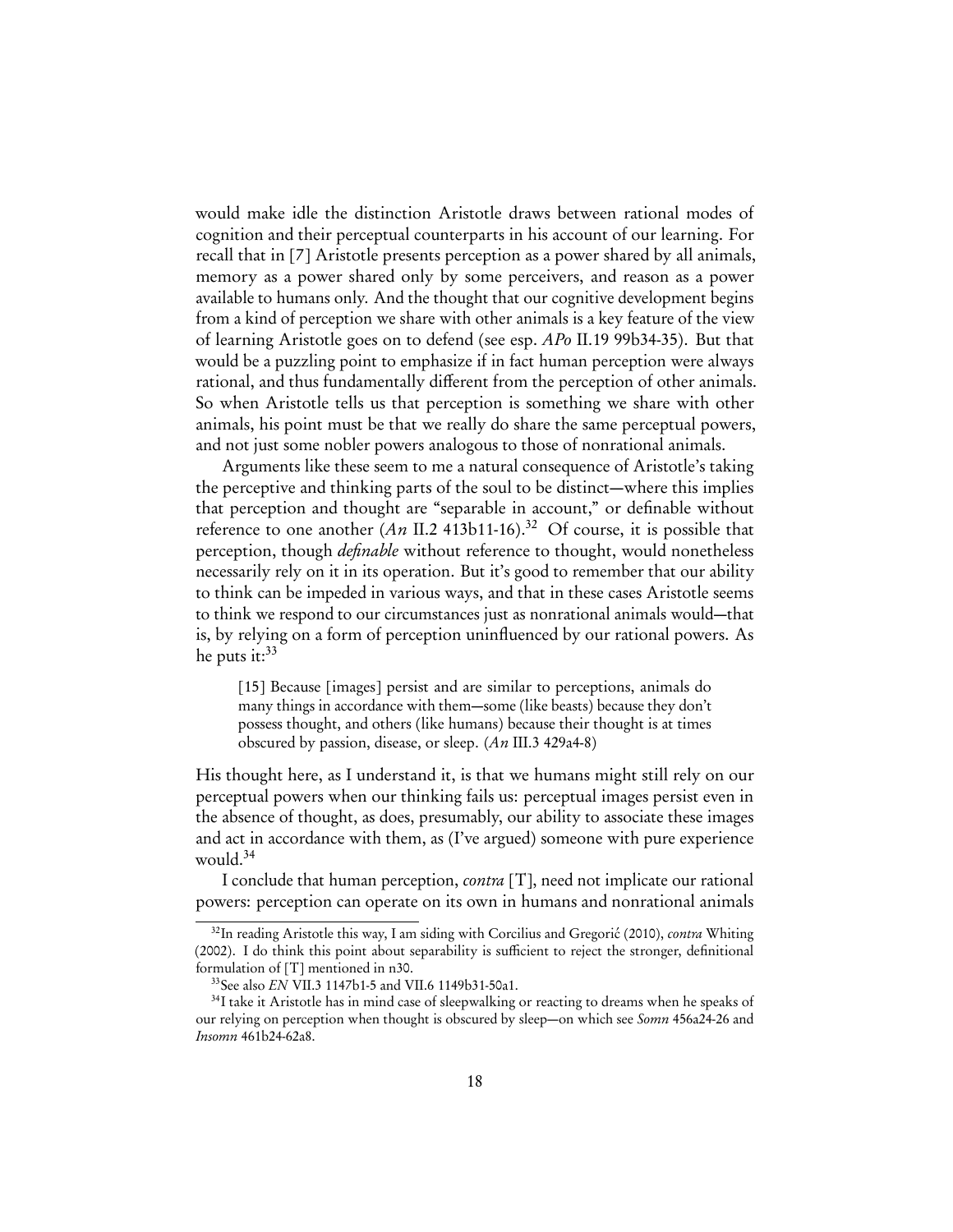would make idle the distinction Aristotle draws between rational modes of cognition and their perceptual counterparts in his account of our learning. For recall that in [\[7\]](#page-7-2) Aristotle presents perception as a power shared by all animals, memory as a power shared only by some perceivers, and reason as a power available to humans only. And the thought that our cognitive development begins from a kind of perception we share with other animals is a key feature of the view of learning Aristotle goes on to defend (see esp. APo II.19 99b34-35). But that would be a puzzling point to emphasize if in fact human perception were always rational, and thus fundamentally different from the perception of other animals. So when Aristotle tells us that perception is something we share with other animals, his point must be that we really do share the same perceptual powers, and not just some nobler powers analogous to those of nonrational animals.

Arguments like these seem to me a natural consequence of Aristotle's taking the perceptive and thinking parts of the soul to be distinct—where this implies that perception and thought are "separable in account," or definable without reference to one another  $(An \Pi.2 413b11-16).^{32}$  $(An \Pi.2 413b11-16).^{32}$  $(An \Pi.2 413b11-16).^{32}$  Of course, it is possible that perception, though *definable* without reference to thought, would nonetheless necessarily rely on it in its operation. But it's good to remember that our ability to think can be impeded in various ways, and that in these cases Aristotle seems to think we respond to our circumstances just as nonrational animals would—that is, by relying on a form of perception uninfluenced by our rational powers. As he puts it: $33$ 

<span id="page-17-3"></span>[15] Because [images] persist and are similar to perceptions, animals do many things in accordance with them—some (like beasts) because they don't possess thought, and others (like humans) because their thought is at times obscured by passion, disease, or sleep. (An III.3 429a4-8)

His thought here, as I understand it, is that we humans might still rely on our perceptual powers when our thinking fails us: perceptual images persist even in the absence of thought, as does, presumably, our ability to associate these images and act in accordance with them, as (I've argued) someone with pure experience would.<sup>[34](#page-17-2)</sup>

I conclude that human perception, contra [T], need not implicate our rational powers: perception can operate on its own in humans and nonrational animals

<span id="page-17-0"></span> $32$ In reading Aristotle this way, I am siding with [Corcilius and Gregorić](#page-28-11) [\(2010\)](#page-28-11), *contra* [Whiting](#page-31-1) [\(2002\)](#page-31-1). I do think this point about separability is sufficient to reject the stronger, definitional formulation of [T] mentioned in [n30.](#page-15-1)

<span id="page-17-2"></span><span id="page-17-1"></span><sup>33</sup>See also EN VII.3 1147b1-5 and VII.6 1149b31-50a1.

<sup>&</sup>lt;sup>34</sup>I take it Aristotle has in mind case of sleepwalking or reacting to dreams when he speaks of our relying on perception when thought is obscured by sleep—on which see Somn 456a24-26 and Insomn 461b24-62a8.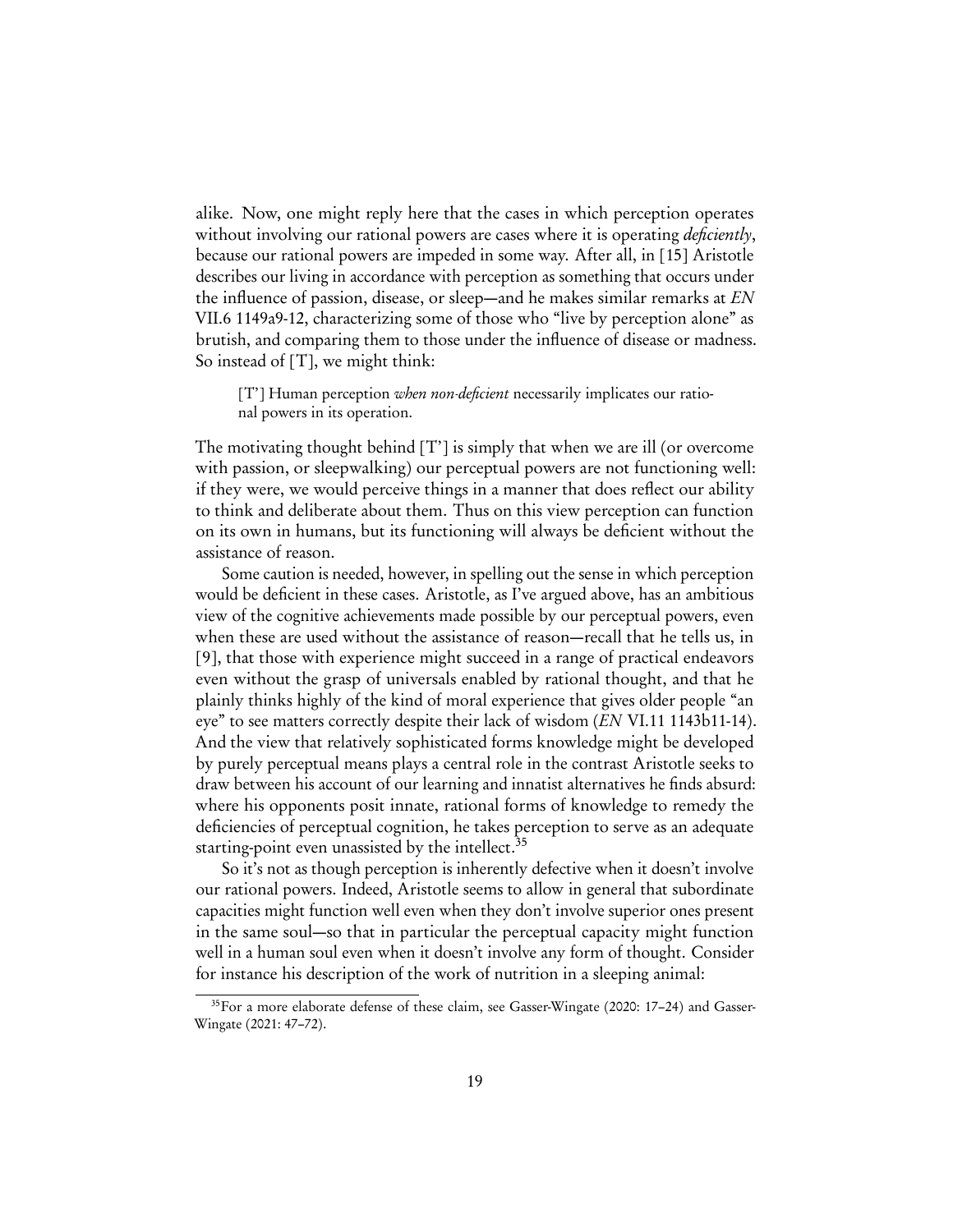alike. Now, one might reply here that the cases in which perception operates without involving our rational powers are cases where it is operating *deficiently*, because our rational powers are impeded in some way. After all, in [\[15\]](#page-17-3) Aristotle describes our living in accordance with perception as something that occurs under the influence of passion, disease, or sleep—and he makes similar remarks at  $EN$ VII.6 1149a9-12, characterizing some of those who "live by perception alone" as brutish, and comparing them to those under the influence of disease or madness. So instead of [T], we might think:

[T'] Human perception when non-deficient necessarily implicates our rational powers in its operation.

The motivating thought behind [T'] is simply that when we are ill (or overcome with passion, or sleepwalking) our perceptual powers are not functioning well: if they were, we would perceive things in a manner that does reflect our ability to think and deliberate about them. Thus on this view perception can function on its own in humans, but its functioning will always be deficient without the assistance of reason.

Some caution is needed, however, in spelling out the sense in which perception would be deficient in these cases. Aristotle, as I've argued above, has an ambitious view of the cognitive achievements made possible by our perceptual powers, even when these are used without the assistance of reason—recall that he tells us, in [\[9\]](#page-9-2), that those with experience might succeed in a range of practical endeavors even without the grasp of universals enabled by rational thought, and that he plainly thinks highly of the kind of moral experience that gives older people "an eye" to see matters correctly despite their lack of wisdom (EN VI.11 1143b11-14). And the view that relatively sophisticated forms knowledge might be developed by purely perceptual means plays a central role in the contrast Aristotle seeks to draw between his account of our learning and innatist alternatives he finds absurd: where his opponents posit innate, rational forms of knowledge to remedy the deficiencies of perceptual cognition, he takes perception to serve as an adequate starting-point even unassisted by the intellect.<sup>[35](#page-18-0)</sup>

So it's not as though perception is inherently defective when it doesn't involve our rational powers. Indeed, Aristotle seems to allow in general that subordinate capacities might function well even when they don't involve superior ones present in the same soul—so that in particular the perceptual capacity might function well in a human soul even when it doesn't involve any form of thought. Consider for instance his description of the work of nutrition in a sleeping animal:

<span id="page-18-0"></span><sup>35</sup>For a more elaborate defense of these claim, see [Gasser-Wingate](#page-28-12) ([2020:](#page-28-12) 17–24) and [Gasser-](#page-29-14)[Wingate](#page-29-14) [\(2021:](#page-29-14) 47–72).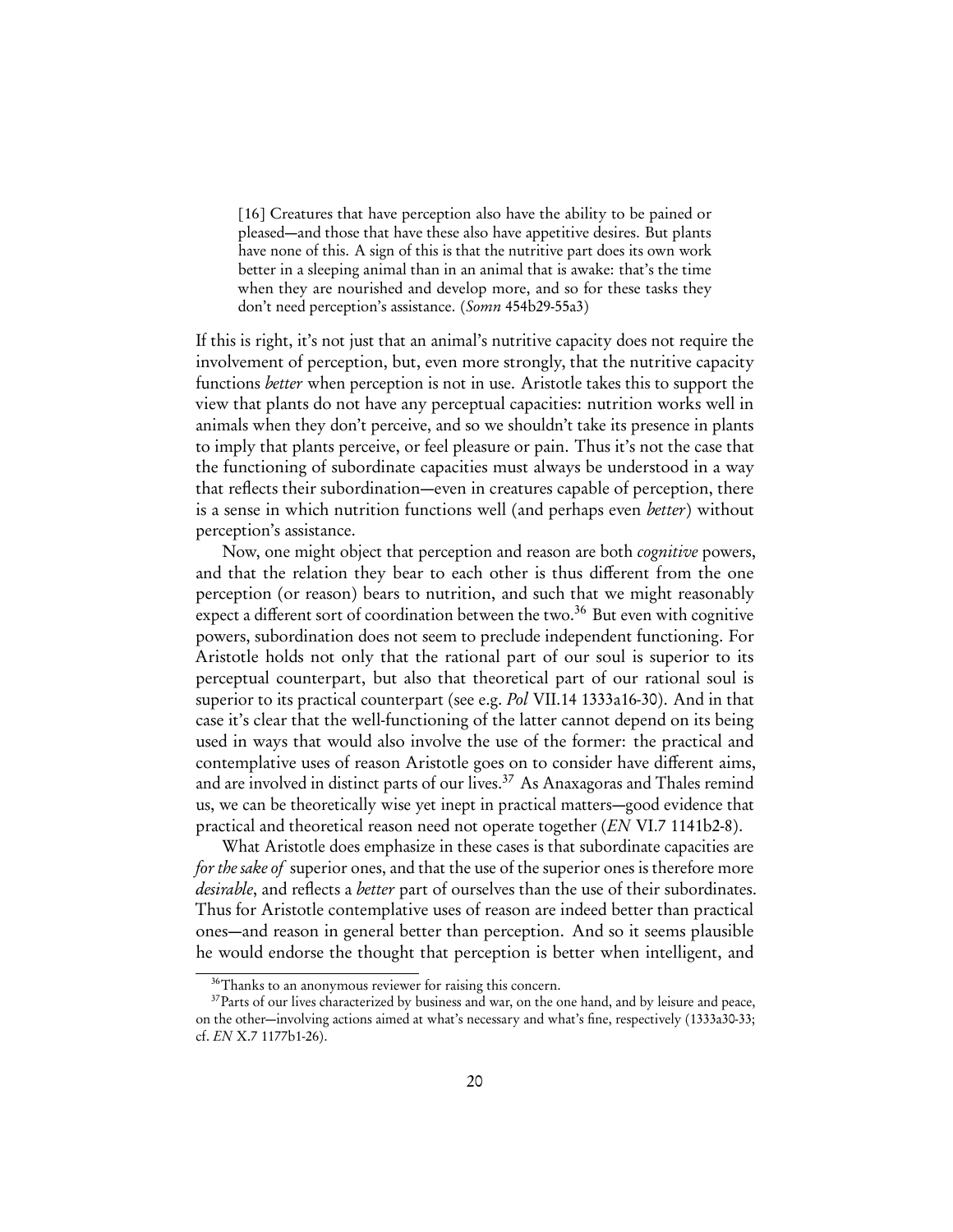<span id="page-19-0"></span>[16] Creatures that have perception also have the ability to be pained or pleased—and those that have these also have appetitive desires. But plants have none of this. A sign of this is that the nutritive part does its own work better in a sleeping animal than in an animal that is awake: that's the time when they are nourished and develop more, and so for these tasks they don't need perception's assistance. (Somn 454b29-55a3)

If this is right, it's not just that an animal's nutritive capacity does not require the involvement of perception, but, even more strongly, that the nutritive capacity functions better when perception is not in use. Aristotle takes this to support the view that plants do not have any perceptual capacities: nutrition works well in animals when they don't perceive, and so we shouldn't take its presence in plants to imply that plants perceive, or feel pleasure or pain. Thus it's not the case that the functioning of subordinate capacities must always be understood in a way that reflects their subordination—even in creatures capable of perception, there is a sense in which nutrition functions well (and perhaps even *better*) without perception's assistance.

Now, one might object that perception and reason are both cognitive powers, and that the relation they bear to each other is thus different from the one perception (or reason) bears to nutrition, and such that we might reasonably expect a different sort of coordination between the two.<sup>[36](#page-19-1)</sup> But even with cognitive powers, subordination does not seem to preclude independent functioning. For Aristotle holds not only that the rational part of our soul is superior to its perceptual counterpart, but also that theoretical part of our rational soul is superior to its practical counterpart (see e.g. Pol VII.14 1333a16-30). And in that case it's clear that the well-functioning of the latter cannot depend on its being used in ways that would also involve the use of the former: the practical and contemplative uses of reason Aristotle goes on to consider have different aims, and are involved in distinct parts of our lives.<sup>[37](#page-19-2)</sup> As Anaxagoras and Thales remind us, we can be theoretically wise yet inept in practical matters—good evidence that practical and theoretical reason need not operate together (EN VI.7 1141b2-8).

What Aristotle does emphasize in these cases is that subordinate capacities are for the sake of superior ones, and that the use of the superior ones is therefore more desirable, and reflects a better part of ourselves than the use of their subordinates. Thus for Aristotle contemplative uses of reason are indeed better than practical ones—and reason in general better than perception. And so it seems plausible he would endorse the thought that perception is better when intelligent, and

<span id="page-19-2"></span><span id="page-19-1"></span><sup>&</sup>lt;sup>36</sup>Thanks to an anonymous reviewer for raising this concern.

<sup>&</sup>lt;sup>37</sup>Parts of our lives characterized by business and war, on the one hand, and by leisure and peace, on the other—involving actions aimed at what's necessary and what's fine, respectively (1333a30-33; cf. EN X.7 1177b1-26).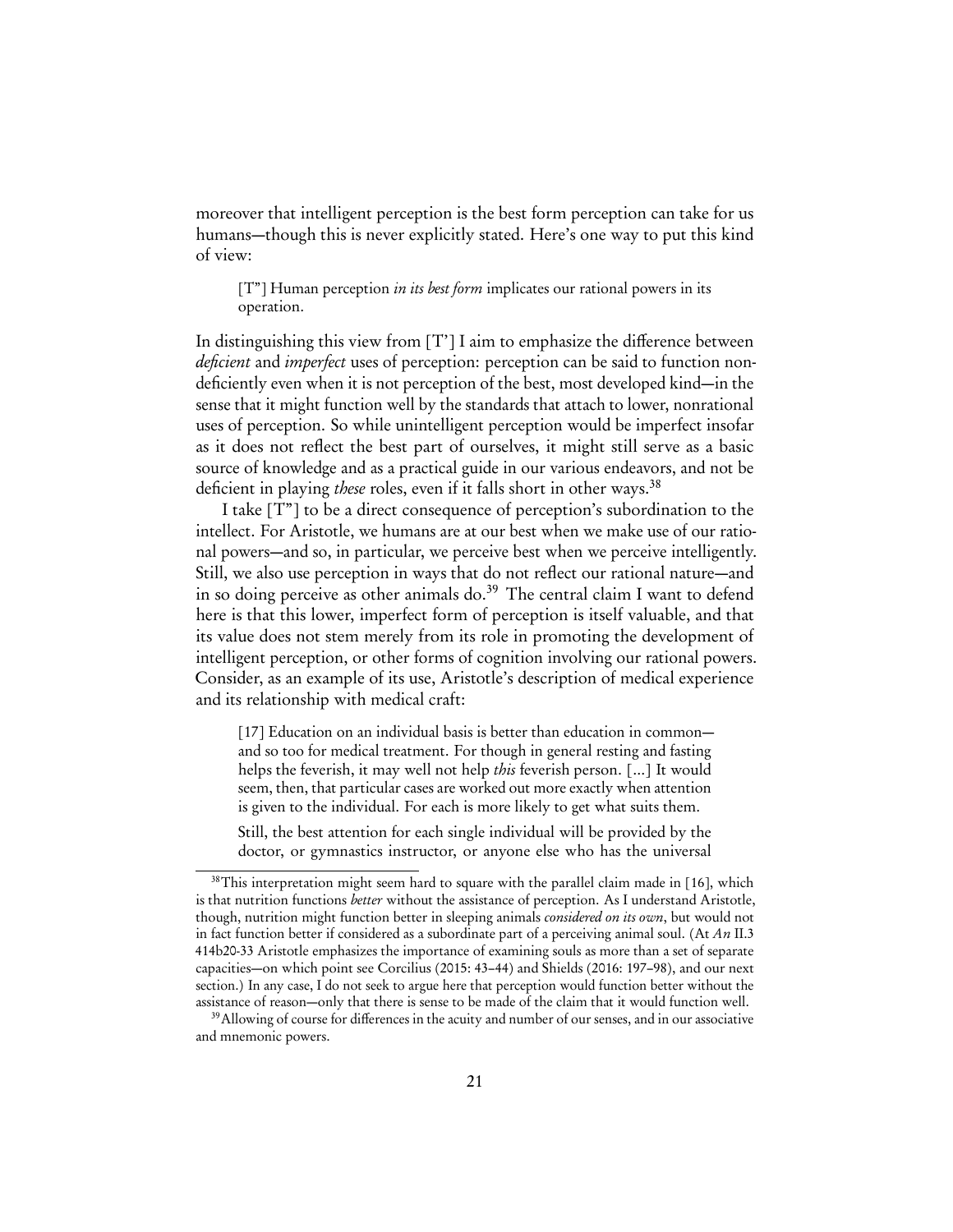moreover that intelligent perception is the best form perception can take for us humans—though this is never explicitly stated. Here's one way to put this kind of view:

 $[T<sup>*</sup>]$  Human perception *in its best form* implicates our rational powers in its operation.

In distinguishing this view from [T'] I aim to emphasize the difference between deficient and *imperfect* uses of perception: perception can be said to function nondeficiently even when it is not perception of the best, most developed kind—in the sense that it might function well by the standards that attach to lower, nonrational uses of perception. So while unintelligent perception would be imperfect insofar as it does not reflect the best part of ourselves, it might still serve as a basic source of knowledge and as a practical guide in our various endeavors, and not be deficient in playing these roles, even if it falls short in other ways.<sup>[38](#page-20-0)</sup>

I take [T"] to be a direct consequence of perception's subordination to the intellect. For Aristotle, we humans are at our best when we make use of our rational powers—and so, in particular, we perceive best when we perceive intelligently. Still, we also use perception in ways that do not reflect our rational nature—and in so doing perceive as other animals do.<sup>[39](#page-20-1)</sup> The central claim I want to defend here is that this lower, imperfect form of perception is itself valuable, and that its value does not stem merely from its role in promoting the development of intelligent perception, or other forms of cognition involving our rational powers. Consider, as an example of its use, Aristotle's description of medical experience and its relationship with medical craft:

<span id="page-20-2"></span>[17] Education on an individual basis is better than education in common and so too for medical treatment. For though in general resting and fasting helps the feverish, it may well not help this feverish person. [...] It would seem, then, that particular cases are worked out more exactly when attention is given to the individual. For each is more likely to get what suits them.

Still, the best attention for each single individual will be provided by the doctor, or gymnastics instructor, or anyone else who has the universal

<span id="page-20-0"></span><sup>&</sup>lt;sup>38</sup>This interpretation might seem hard to square with the parallel claim made in [\[16\]](#page-19-0), which is that nutrition functions *better* without the assistance of perception. As I understand Aristotle, though, nutrition might function better in sleeping animals considered on its own, but would not in fact function better if considered as a subordinate part of a perceiving animal soul. (At An II.3 414b20-33 Aristotle emphasizes the importance of examining souls as more than a set of separate capacities—on which point see [Corcilius](#page-28-13) [\(2015:](#page-28-13) 43–44) and [Shields](#page-30-6) [\(2016:](#page-30-6) 197–98), and our next section.) In any case, I do not seek to argue here that perception would function better without the assistance of reason—only that there is sense to be made of the claim that it would function well.

<span id="page-20-1"></span><sup>&</sup>lt;sup>39</sup>Allowing of course for differences in the acuity and number of our senses, and in our associative and mnemonic powers.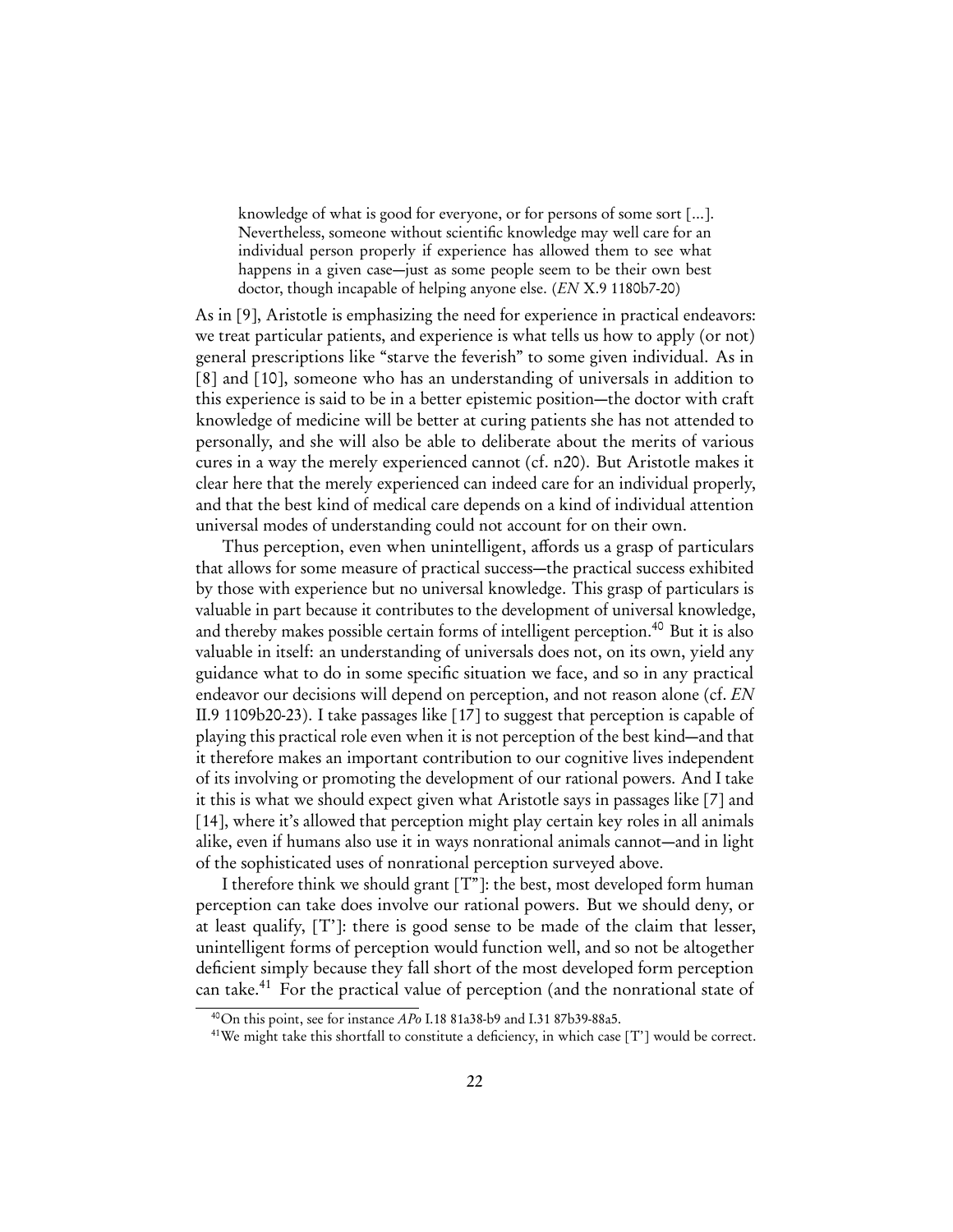knowledge of what is good for everyone, or for persons of some sort [...]. Nevertheless, someone without scientific knowledge may well care for an individual person properly if experience has allowed them to see what happens in a given case—just as some people seem to be their own best doctor, though incapable of helping anyone else. (EN X.9 1180b7-20)

As in [\[9\]](#page-9-2), Aristotle is emphasizing the need for experience in practical endeavors: we treat particular patients, and experience is what tells us how to apply (or not) general prescriptions like "starve the feverish" to some given individual. As in [\[8\]](#page-8-2) and [\[10\]](#page-10-1), someone who has an understanding of universals in addition to this experience is said to be in a better epistemic position—the doctor with craft knowledge of medicine will be better at curing patients she has not attended to personally, and she will also be able to deliberate about the merits of various cures in a way the merely experienced cannot (cf. [n20\)](#page-9-1). But Aristotle makes it clear here that the merely experienced can indeed care for an individual properly, and that the best kind of medical care depends on a kind of individual attention universal modes of understanding could not account for on their own.

Thus perception, even when unintelligent, affords us a grasp of particulars that allows for some measure of practical success—the practical success exhibited by those with experience but no universal knowledge. This grasp of particulars is valuable in part because it contributes to the development of universal knowledge, and thereby makes possible certain forms of intelligent perception.<sup>[40](#page-21-0)</sup> But it is also valuable in itself: an understanding of universals does not, on its own, yield any guidance what to do in some specific situation we face, and so in any practical endeavor our decisions will depend on perception, and not reason alone (cf. EN II.9 1109b20-23). I take passages like [\[17\]](#page-20-2) to suggest that perception is capable of playing this practical role even when it is not perception of the best kind—and that it therefore makes an important contribution to our cognitive lives independent of its involving or promoting the development of our rational powers. And I take it this is what we should expect given what Aristotle says in passages like [\[7\]](#page-7-2) and [\[14\]](#page-14-0), where it's allowed that perception might play certain key roles in all animals alike, even if humans also use it in ways nonrational animals cannot—and in light of the sophisticated uses of nonrational perception surveyed above.

I therefore think we should grant [T"]: the best, most developed form human perception can take does involve our rational powers. But we should deny, or at least qualify, [T']: there is good sense to be made of the claim that lesser, unintelligent forms of perception would function well, and so not be altogether deficient simply because they fall short of the most developed form perception can take.<sup>[41](#page-21-1)</sup> For the practical value of perception (and the nonrational state of

<span id="page-21-0"></span><sup>40</sup>On this point, see for instance APo I.18 81a38-b9 and I.31 87b39-88a5.

<span id="page-21-1"></span><sup>&</sup>lt;sup>41</sup>We might take this shortfall to constitute a deficiency, in which case  $[T']$  would be correct.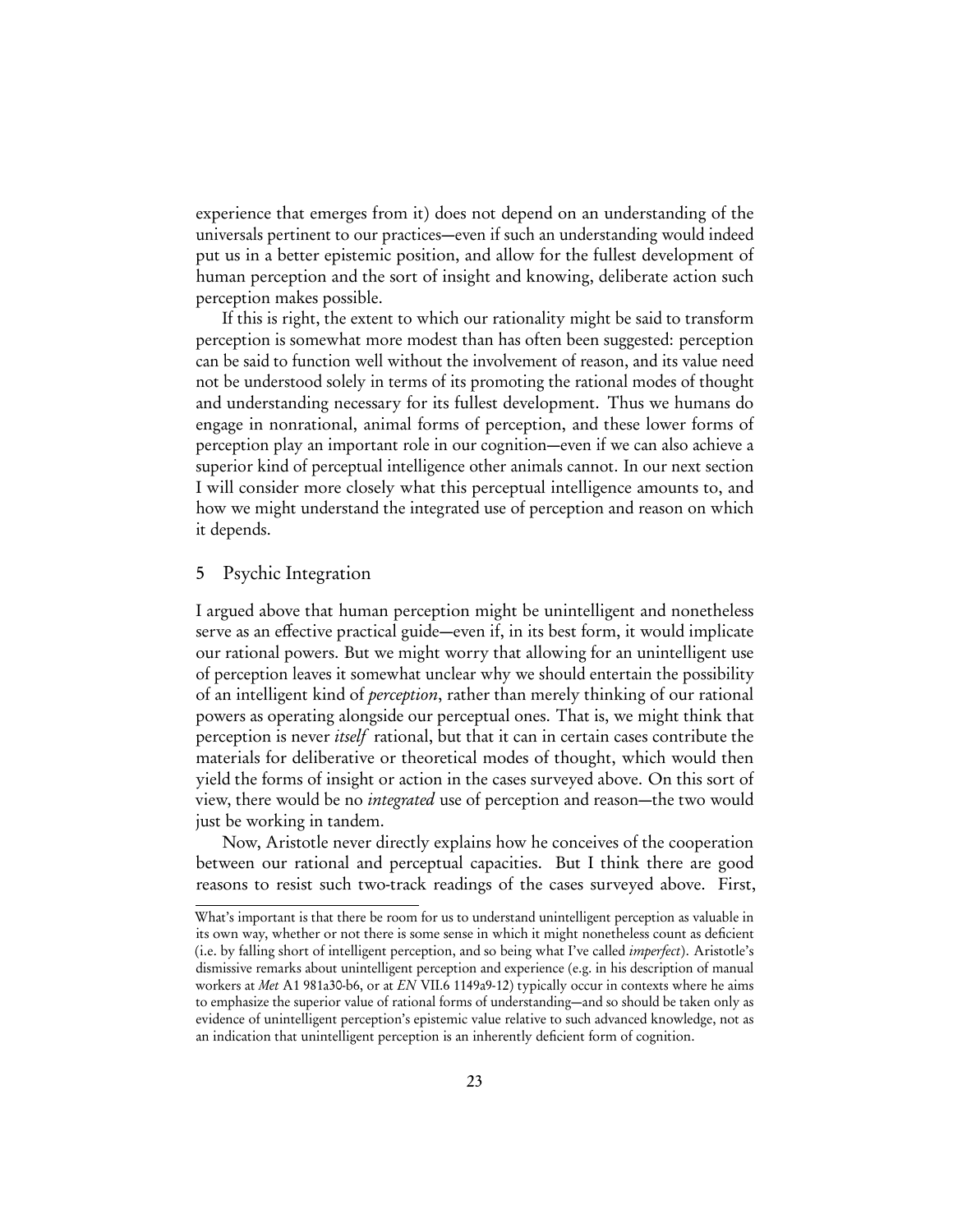experience that emerges from it) does not depend on an understanding of the universals pertinent to our practices—even if such an understanding would indeed put us in a better epistemic position, and allow for the fullest development of human perception and the sort of insight and knowing, deliberate action such perception makes possible.

If this is right, the extent to which our rationality might be said to transform perception is somewhat more modest than has often been suggested: perception can be said to function well without the involvement of reason, and its value need not be understood solely in terms of its promoting the rational modes of thought and understanding necessary for its fullest development. Thus we humans do engage in nonrational, animal forms of perception, and these lower forms of perception play an important role in our cognition—even if we can also achieve a superior kind of perceptual intelligence other animals cannot. In our next section I will consider more closely what this perceptual intelligence amounts to, and how we might understand the integrated use of perception and reason on which it depends.

## <span id="page-22-0"></span>5 Psychic Integration

I argued above that human perception might be unintelligent and nonetheless serve as an effective practical guide—even if, in its best form, it would implicate our rational powers. But we might worry that allowing for an unintelligent use of perception leaves it somewhat unclear why we should entertain the possibility of an intelligent kind of perception, rather than merely thinking of our rational powers as operating alongside our perceptual ones. That is, we might think that perception is never itself rational, but that it can in certain cases contribute the materials for deliberative or theoretical modes of thought, which would then yield the forms of insight or action in the cases surveyed above. On this sort of view, there would be no integrated use of perception and reason—the two would just be working in tandem.

Now, Aristotle never directly explains how he conceives of the cooperation between our rational and perceptual capacities. But I think there are good reasons to resist such two-track readings of the cases surveyed above. First,

What's important is that there be room for us to understand unintelligent perception as valuable in its own way, whether or not there is some sense in which it might nonetheless count as deficient (i.e. by falling short of intelligent perception, and so being what I've called imperfect). Aristotle's dismissive remarks about unintelligent perception and experience (e.g. in his description of manual workers at Met A1 981a30-b6, or at EN VII.6 1149a9-12) typically occur in contexts where he aims to emphasize the superior value of rational forms of understanding—and so should be taken only as evidence of unintelligent perception's epistemic value relative to such advanced knowledge, not as an indication that unintelligent perception is an inherently deficient form of cognition.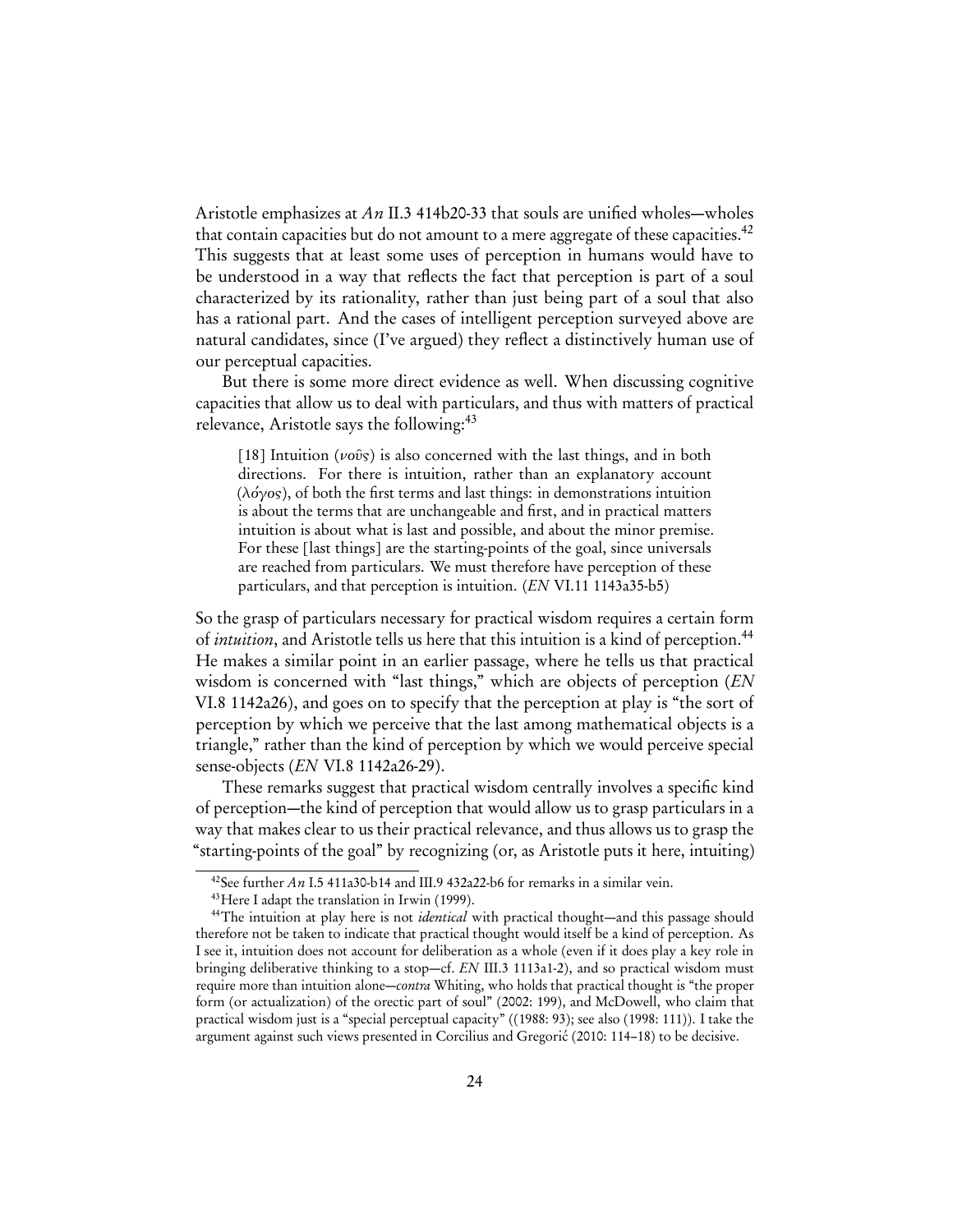Aristotle emphasizes at An II.3 414b20-33 that souls are unified wholes—wholes that contain capacities but do not amount to a mere aggregate of these capacities.<sup>[42](#page-23-1)</sup> This suggests that at least some uses of perception in humans would have to be understood in a way that reflects the fact that perception is part of a soul characterized by its rationality, rather than just being part of a soul that also has a rational part. And the cases of intelligent perception surveyed above are natural candidates, since (I've argued) they reflect a distinctively human use of our perceptual capacities.

But there is some more direct evidence as well. When discussing cognitive capacities that allow us to deal with particulars, and thus with matters of practical relevance, Aristotle says the following:<sup>[43](#page-23-2)</sup>

<span id="page-23-0"></span>[18] Intuition ( $\nu$ οῦς) is also concerned with the last things, and in both directions. For there is intuition, rather than an explanatory account (λόγος), of both the first terms and last things: in demonstrations intuition is about the terms that are unchangeable and first, and in practical matters intuition is about what is last and possible, and about the minor premise. For these [last things] are the starting-points of the goal, since universals are reached from particulars. We must therefore have perception of these particulars, and that perception is intuition. (EN VI.11 1143a35-b5)

So the grasp of particulars necessary for practical wisdom requires a certain form of *intuition*, and Aristotle tells us here that this intuition is a kind of perception.<sup>[44](#page-23-3)</sup> He makes a similar point in an earlier passage, where he tells us that practical wisdom is concerned with "last things," which are objects of perception (EN VI.8 1142a26), and goes on to specify that the perception at play is "the sort of perception by which we perceive that the last among mathematical objects is a triangle," rather than the kind of perception by which we would perceive special sense-objects (EN VI.8 1142a26-29).

These remarks suggest that practical wisdom centrally involves a specific kind of perception—the kind of perception that would allow us to grasp particulars in a way that makes clear to us their practical relevance, and thus allows us to grasp the "starting-points of the goal" by recognizing (or, as Aristotle puts it here, intuiting)

<span id="page-23-1"></span><sup>&</sup>lt;sup>42</sup>See further An I.5 411a30-b14 and III.9 432a22-b6 for remarks in a similar vein.

<span id="page-23-3"></span><span id="page-23-2"></span><sup>43</sup>Here I adapt the translation in [Irwin](#page-29-15) ([1999\)](#page-29-15).

<sup>&</sup>lt;sup>44</sup>The intuition at play here is not *identical* with practical thought—and this passage should therefore not be taken to indicate that practical thought would itself be a kind of perception. As I see it, intuition does not account for deliberation as a whole (even if it does play a key role in bringing deliberative thinking to a stop—cf. EN III.3 1113a1-2), and so practical wisdom must require more than intuition alone—contra Whiting, who holds that practical thought is "the proper form (or actualization) of the orectic part of soul" [\(2002:](#page-31-1) 199), and McDowell, who claim that practical wisdom just is a "special perceptual capacity" ([\(1988:](#page-30-2) 93); see also [\(1998:](#page-30-3) 111)). I take the argument against such views presented in [Corcilius and Gregorić](#page-28-11) ([2010:](#page-28-11) 114–18) to be decisive.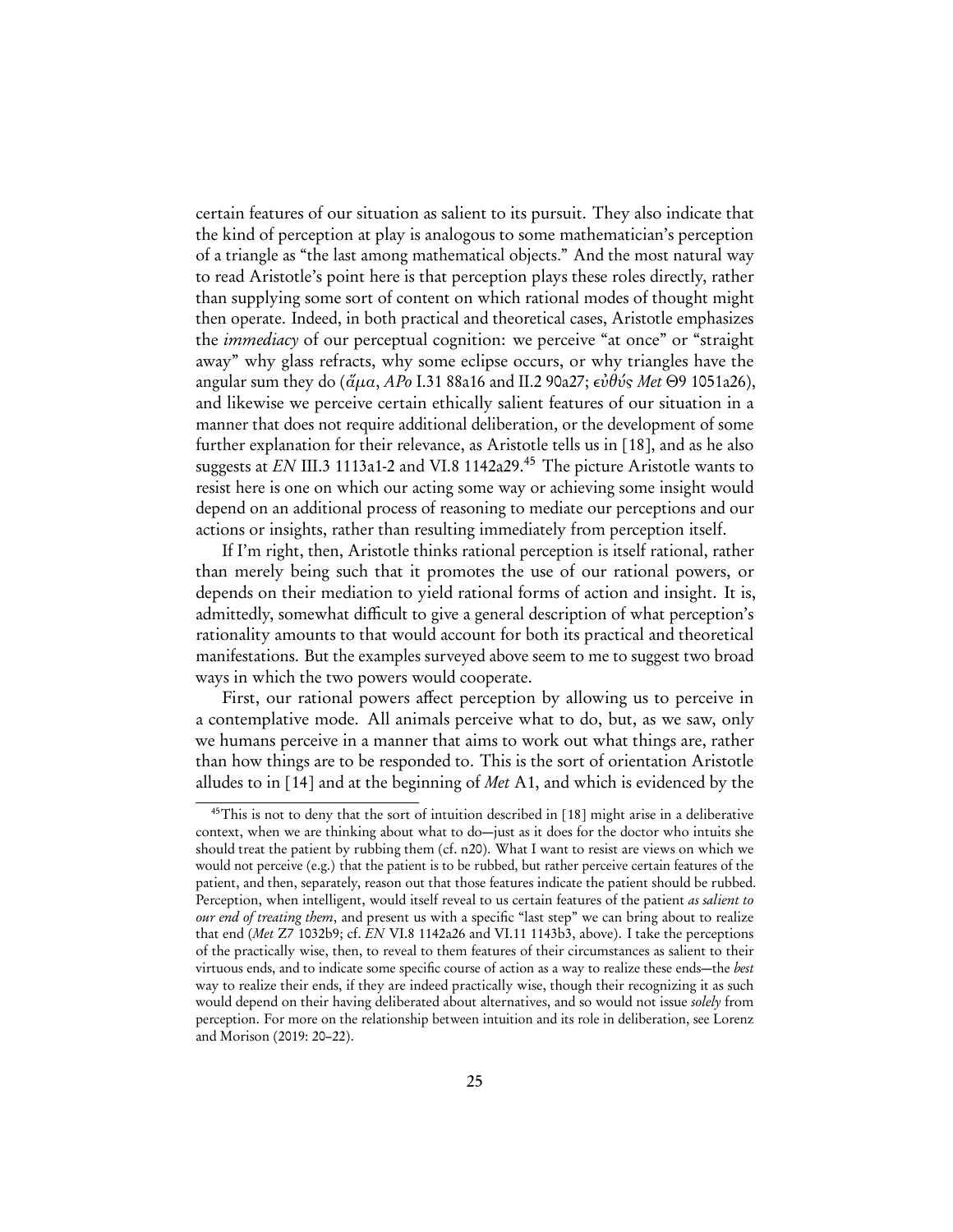certain features of our situation as salient to its pursuit. They also indicate that the kind of perception at play is analogous to some mathematician's perception of a triangle as "the last among mathematical objects." And the most natural way to read Aristotle's point here is that perception plays these roles directly, rather than supplying some sort of content on which rational modes of thought might then operate. Indeed, in both practical and theoretical cases, Aristotle emphasizes the immediacy of our perceptual cognition: we perceive "at once" or "straight away" why glass refracts, why some eclipse occurs, or why triangles have the angular sum they do (ἅμα, APo I.31 88a16 and II.2 90a27; εὐθύς Met *Θ*9 1051a26), and likewise we perceive certain ethically salient features of our situation in a manner that does not require additional deliberation, or the development of some further explanation for their relevance, as Aristotle tells us in [\[18\]](#page-23-0), and as he also suggests at  $EN$  III.3 1113a1-2 and VI.8 1142a29.<sup>[45](#page-24-0)</sup> The picture Aristotle wants to resist here is one on which our acting some way or achieving some insight would depend on an additional process of reasoning to mediate our perceptions and our actions or insights, rather than resulting immediately from perception itself.

If I'm right, then, Aristotle thinks rational perception is itself rational, rather than merely being such that it promotes the use of our rational powers, or depends on their mediation to yield rational forms of action and insight. It is, admittedly, somewhat difficult to give a general description of what perception's rationality amounts to that would account for both its practical and theoretical manifestations. But the examples surveyed above seem to me to suggest two broad ways in which the two powers would cooperate.

First, our rational powers affect perception by allowing us to perceive in a contemplative mode. All animals perceive what to do, but, as we saw, only we humans perceive in a manner that aims to work out what things are, rather than how things are to be responded to. This is the sort of orientation Aristotle alludes to in [\[14\]](#page-14-0) and at the beginning of Met A1, and which is evidenced by the

<span id="page-24-0"></span><sup>&</sup>lt;sup>45</sup>This is not to deny that the sort of intuition described in [\[18\]](#page-23-0) might arise in a deliberative context, when we are thinking about what to do—just as it does for the doctor who intuits she should treat the patient by rubbing them (cf. [n20\)](#page-9-1). What I want to resist are views on which we would not perceive (e.g.) that the patient is to be rubbed, but rather perceive certain features of the patient, and then, separately, reason out that those features indicate the patient should be rubbed. Perception, when intelligent, would itself reveal to us certain features of the patient as salient to our end of treating them, and present us with a specific "last step" we can bring about to realize that end (Met Z7 1032b9; cf. EN VI.8 1142a26 and VI.11 1143b3, above). I take the perceptions of the practically wise, then, to reveal to them features of their circumstances as salient to their virtuous ends, and to indicate some specific course of action as a way to realize these ends—the best way to realize their ends, if they are indeed practically wise, though their recognizing it as such would depend on their having deliberated about alternatives, and so would not issue *solely* from perception. For more on the relationship between intuition and its role in deliberation, see [Lorenz](#page-30-13) [and Morison](#page-30-13) [\(2019:](#page-30-13) 20–22).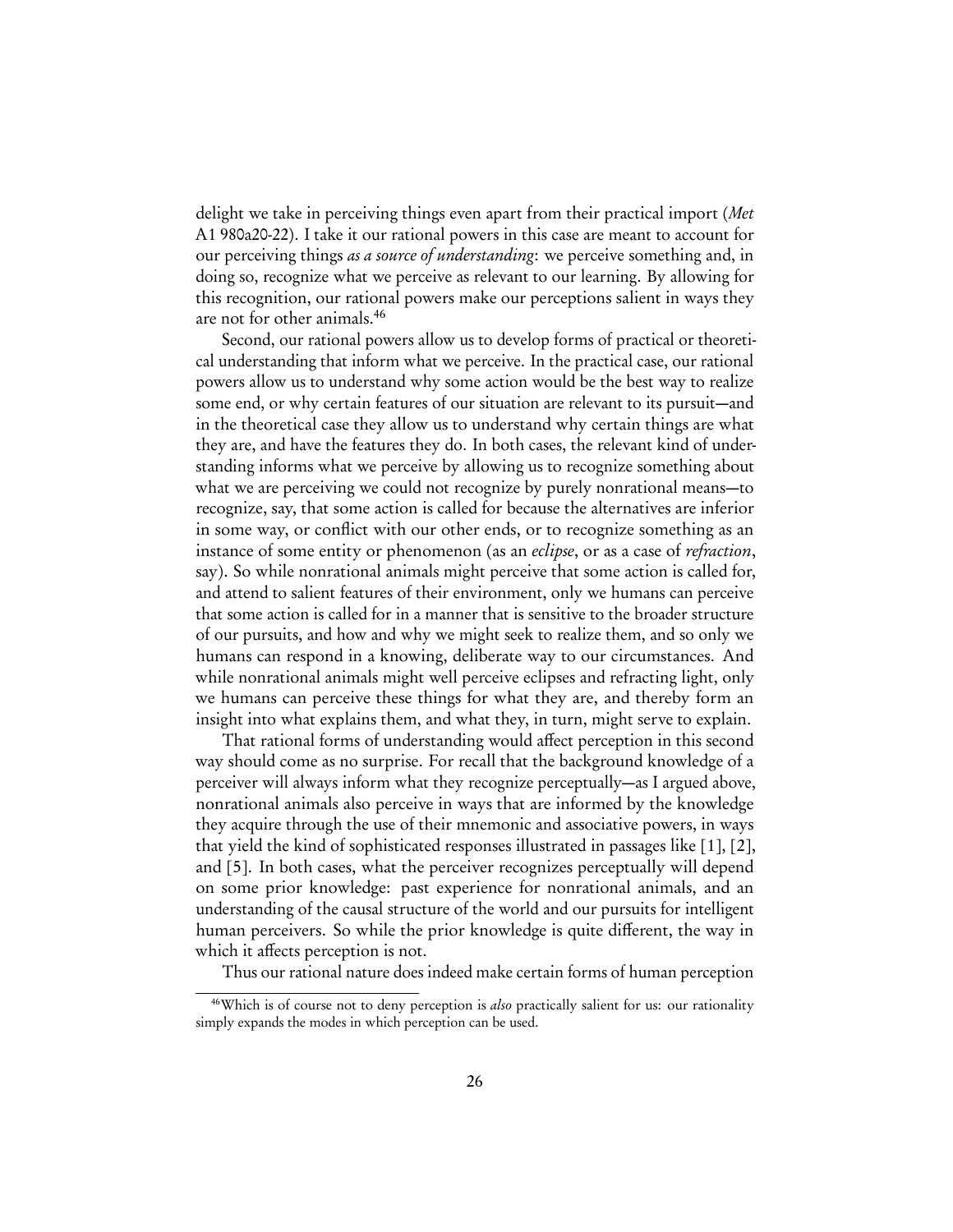delight we take in perceiving things even apart from their practical import (Met A1 980a20-22). I take it our rational powers in this case are meant to account for our perceiving things as a source of understanding: we perceive something and, in doing so, recognize what we perceive as relevant to our learning. By allowing for this recognition, our rational powers make our perceptions salient in ways they are not for other animals.[46](#page-25-0)

Second, our rational powers allow us to develop forms of practical or theoretical understanding that inform what we perceive. In the practical case, our rational powers allow us to understand why some action would be the best way to realize some end, or why certain features of our situation are relevant to its pursuit—and in the theoretical case they allow us to understand why certain things are what they are, and have the features they do. In both cases, the relevant kind of understanding informs what we perceive by allowing us to recognize something about what we are perceiving we could not recognize by purely nonrational means—to recognize, say, that some action is called for because the alternatives are inferior in some way, or conflict with our other ends, or to recognize something as an instance of some entity or phenomenon (as an *eclipse*, or as a case of *refraction*, say). So while nonrational animals might perceive that some action is called for, and attend to salient features of their environment, only we humans can perceive that some action is called for in a manner that is sensitive to the broader structure of our pursuits, and how and why we might seek to realize them, and so only we humans can respond in a knowing, deliberate way to our circumstances. And while nonrational animals might well perceive eclipses and refracting light, only we humans can perceive these things for what they are, and thereby form an insight into what explains them, and what they, in turn, might serve to explain.

That rational forms of understanding would affect perception in this second way should come as no surprise. For recall that the background knowledge of a perceiver will always inform what they recognize perceptually—as I argued above, nonrational animals also perceive in ways that are informed by the knowledge they acquire through the use of their mnemonic and associative powers, in ways that yield the kind of sophisticated responses illustrated in passages like [\[1\]](#page-2-1), [\[2\]](#page-2-2), and [\[5\]](#page-5-2). In both cases, what the perceiver recognizes perceptually will depend on some prior knowledge: past experience for nonrational animals, and an understanding of the causal structure of the world and our pursuits for intelligent human perceivers. So while the prior knowledge is quite different, the way in which it affects perception is not.

<span id="page-25-0"></span>Thus our rational nature does indeed make certain forms of human perception

<sup>&</sup>lt;sup>46</sup>Which is of course not to deny perception is *also* practically salient for us: our rationality simply expands the modes in which perception can be used.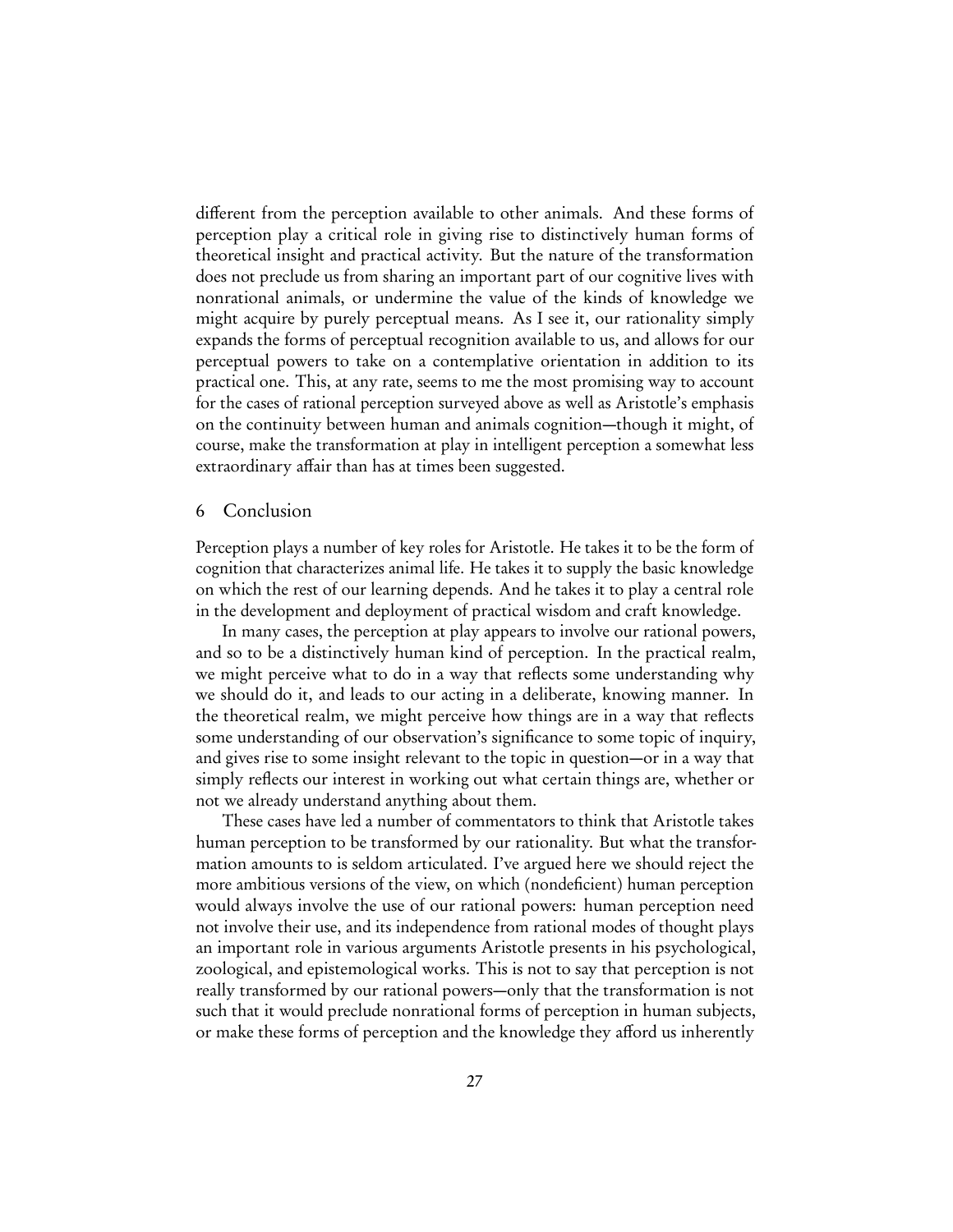different from the perception available to other animals. And these forms of perception play a critical role in giving rise to distinctively human forms of theoretical insight and practical activity. But the nature of the transformation does not preclude us from sharing an important part of our cognitive lives with nonrational animals, or undermine the value of the kinds of knowledge we might acquire by purely perceptual means. As I see it, our rationality simply expands the forms of perceptual recognition available to us, and allows for our perceptual powers to take on a contemplative orientation in addition to its practical one. This, at any rate, seems to me the most promising way to account for the cases of rational perception surveyed above as well as Aristotle's emphasis on the continuity between human and animals cognition—though it might, of course, make the transformation at play in intelligent perception a somewhat less extraordinary affair than has at times been suggested.

#### 6 Conclusion

Perception plays a number of key roles for Aristotle. He takes it to be the form of cognition that characterizes animal life. He takes it to supply the basic knowledge on which the rest of our learning depends. And he takes it to play a central role in the development and deployment of practical wisdom and craft knowledge.

In many cases, the perception at play appears to involve our rational powers, and so to be a distinctively human kind of perception. In the practical realm, we might perceive what to do in a way that reflects some understanding why we should do it, and leads to our acting in a deliberate, knowing manner. In the theoretical realm, we might perceive how things are in a way that reflects some understanding of our observation's significance to some topic of inquiry, and gives rise to some insight relevant to the topic in question—or in a way that simply reflects our interest in working out what certain things are, whether or not we already understand anything about them.

These cases have led a number of commentators to think that Aristotle takes human perception to be transformed by our rationality. But what the transformation amounts to is seldom articulated. I've argued here we should reject the more ambitious versions of the view, on which (nondeficient) human perception would always involve the use of our rational powers: human perception need not involve their use, and its independence from rational modes of thought plays an important role in various arguments Aristotle presents in his psychological, zoological, and epistemological works. This is not to say that perception is not really transformed by our rational powers—only that the transformation is not such that it would preclude nonrational forms of perception in human subjects, or make these forms of perception and the knowledge they afford us inherently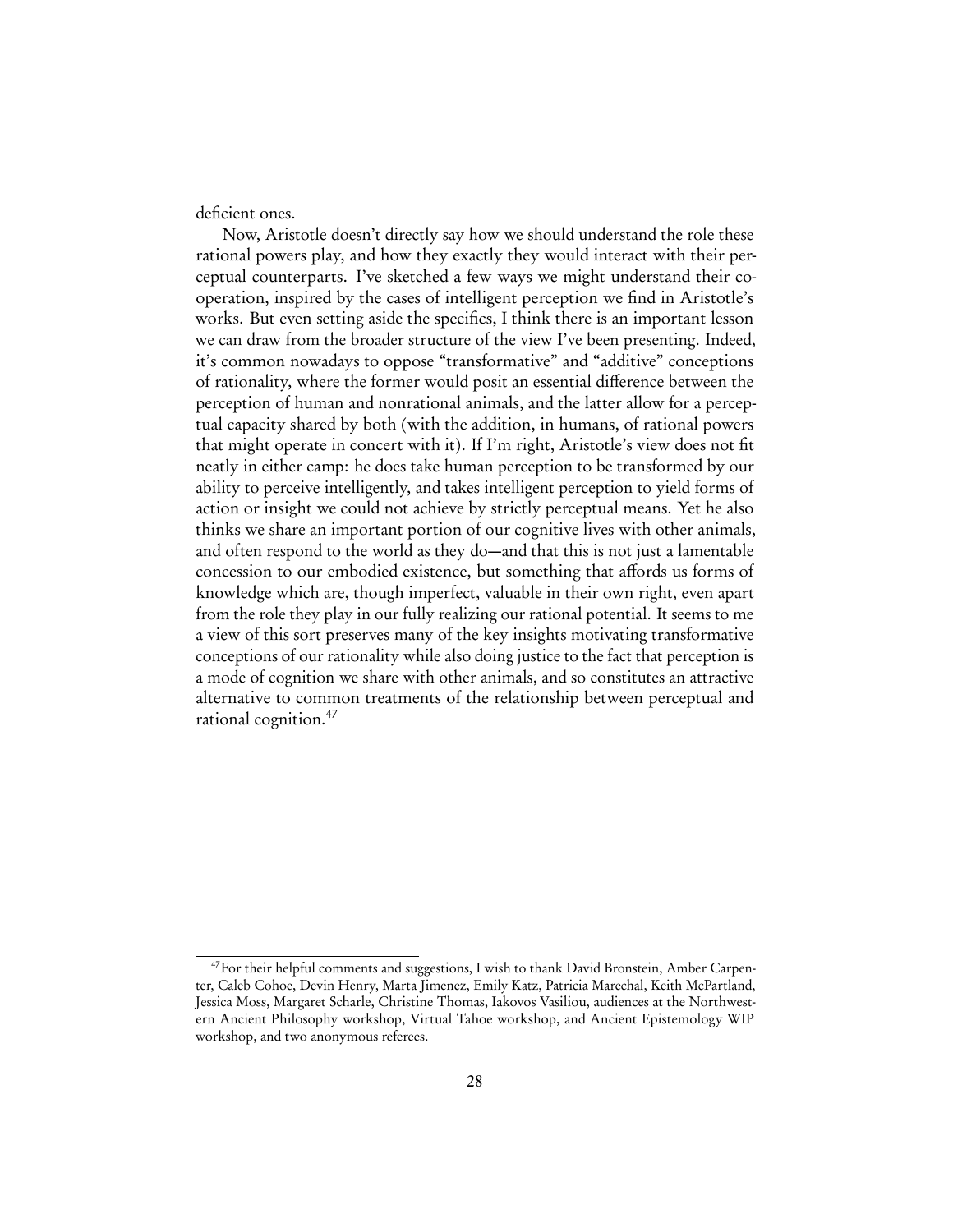deficient ones.

Now, Aristotle doesn't directly say how we should understand the role these rational powers play, and how they exactly they would interact with their perceptual counterparts. I've sketched a few ways we might understand their cooperation, inspired by the cases of intelligent perception we find in Aristotle's works. But even setting aside the specifics, I think there is an important lesson we can draw from the broader structure of the view I've been presenting. Indeed, it's common nowadays to oppose "transformative" and "additive" conceptions of rationality, where the former would posit an essential difference between the perception of human and nonrational animals, and the latter allow for a perceptual capacity shared by both (with the addition, in humans, of rational powers that might operate in concert with it). If I'm right, Aristotle's view does not fit neatly in either camp: he does take human perception to be transformed by our ability to perceive intelligently, and takes intelligent perception to yield forms of action or insight we could not achieve by strictly perceptual means. Yet he also thinks we share an important portion of our cognitive lives with other animals, and often respond to the world as they do—and that this is not just a lamentable concession to our embodied existence, but something that affords us forms of knowledge which are, though imperfect, valuable in their own right, even apart from the role they play in our fully realizing our rational potential. It seems to me a view of this sort preserves many of the key insights motivating transformative conceptions of our rationality while also doing justice to the fact that perception is a mode of cognition we share with other animals, and so constitutes an attractive alternative to common treatments of the relationship between perceptual and rational cognition.[47](#page-27-0)

<span id="page-27-0"></span><sup>&</sup>lt;sup>47</sup>For their helpful comments and suggestions, I wish to thank David Bronstein, Amber Carpenter, Caleb Cohoe, Devin Henry, Marta Jimenez, Emily Katz, Patricia Marechal, Keith McPartland, Jessica Moss, Margaret Scharle, Christine Thomas, Iakovos Vasiliou, audiences at the Northwestern Ancient Philosophy workshop, Virtual Tahoe workshop, and Ancient Epistemology WIP workshop, and two anonymous referees.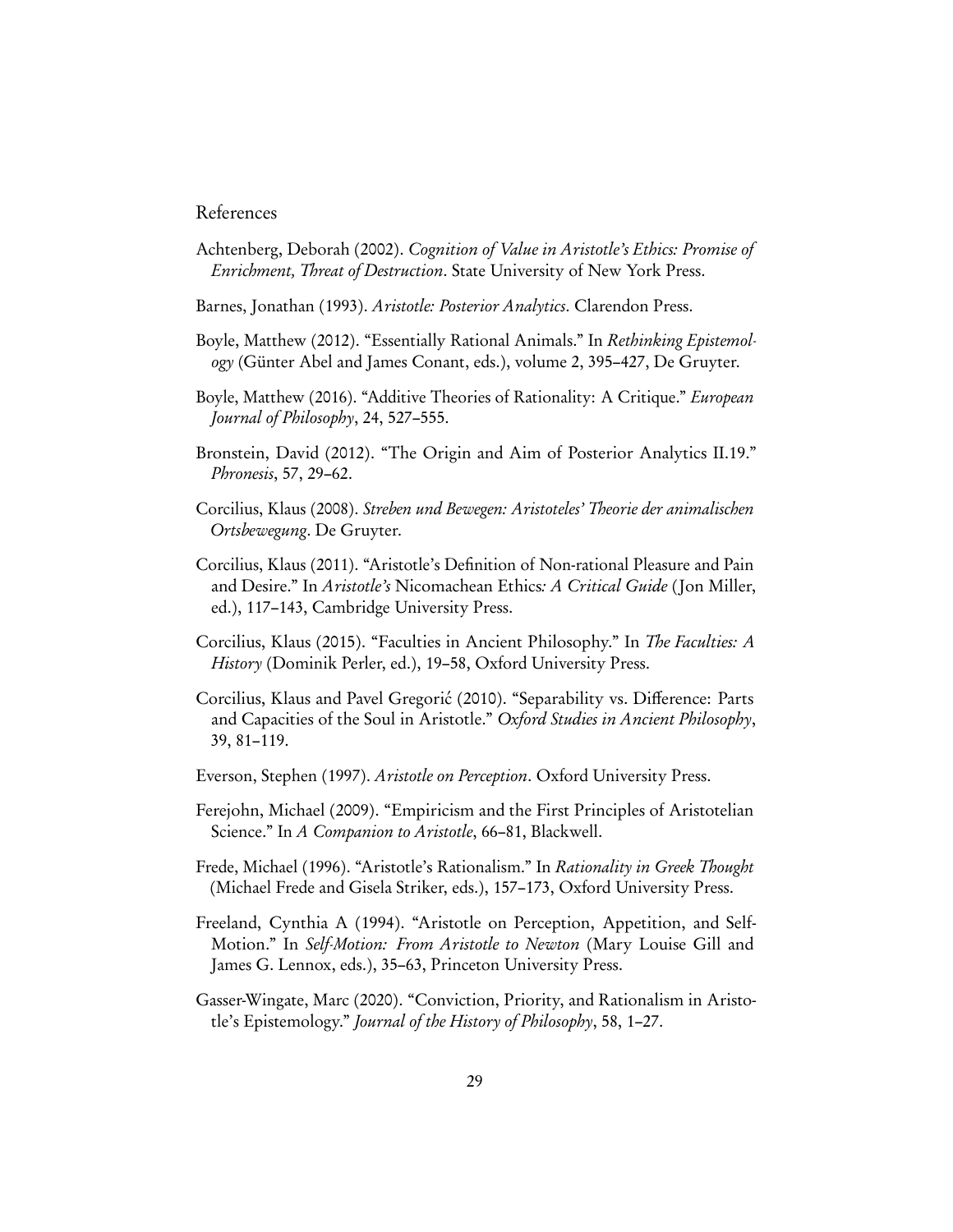## References

- <span id="page-28-8"></span>Achtenberg, Deborah (2002). Cognition of Value in Aristotle's Ethics: Promise of Enrichment, Threat of Destruction. State University of New York Press.
- <span id="page-28-10"></span>Barnes, Jonathan (1993). Aristotle: Posterior Analytics. Clarendon Press.
- <span id="page-28-6"></span>Boyle, Matthew (2012). "Essentially Rational Animals." In Rethinking Epistemology (Günter Abel and James Conant, eds.), volume 2, 395–427, De Gruyter.
- <span id="page-28-7"></span>Boyle, Matthew (2016). "Additive Theories of Rationality: A Critique." European Journal of Philosophy, 24, 527–555.
- <span id="page-28-0"></span>Bronstein, David (2012). "The Origin and Aim of Posterior Analytics II.19." Phronesis, 57, 29–62.
- <span id="page-28-3"></span>Corcilius, Klaus (2008). Streben und Bewegen: Aristoteles' Theorie der animalischen Ortsbewegung. De Gruyter.
- <span id="page-28-9"></span>Corcilius, Klaus (2011). "Aristotle's Definition of Non-rational Pleasure and Pain and Desire." In Aristotle's Nicomachean Ethics: A Critical Guide ( Jon Miller, ed.), 117–143, Cambridge University Press.
- <span id="page-28-13"></span>Corcilius, Klaus (2015). "Faculties in Ancient Philosophy." In The Faculties: A History (Dominik Perler, ed.), 19–58, Oxford University Press.
- <span id="page-28-11"></span>Corcilius, Klaus and Pavel Gregorić (2010). "Separability vs. Difference: Parts and Capacities of the Soul in Aristotle." Oxford Studies in Ancient Philosophy, 39, 81–119.
- <span id="page-28-4"></span>Everson, Stephen (1997). Aristotle on Perception. Oxford University Press.
- <span id="page-28-1"></span>Ferejohn, Michael (2009). "Empiricism and the First Principles of Aristotelian Science." In A Companion to Aristotle, 66-81, Blackwell.
- <span id="page-28-2"></span>Frede, Michael (1996). "Aristotle's Rationalism." In Rationality in Greek Thought (Michael Frede and Gisela Striker, eds.), 157–173, Oxford University Press.
- <span id="page-28-5"></span>Freeland, Cynthia A (1994). "Aristotle on Perception, Appetition, and Self-Motion." In Self-Motion: From Aristotle to Newton (Mary Louise Gill and James G. Lennox, eds.), 35–63, Princeton University Press.
- <span id="page-28-12"></span>Gasser-Wingate, Marc (2020). "Conviction, Priority, and Rationalism in Aristotle's Epistemology." Journal of the History of Philosophy, 58, 1–27.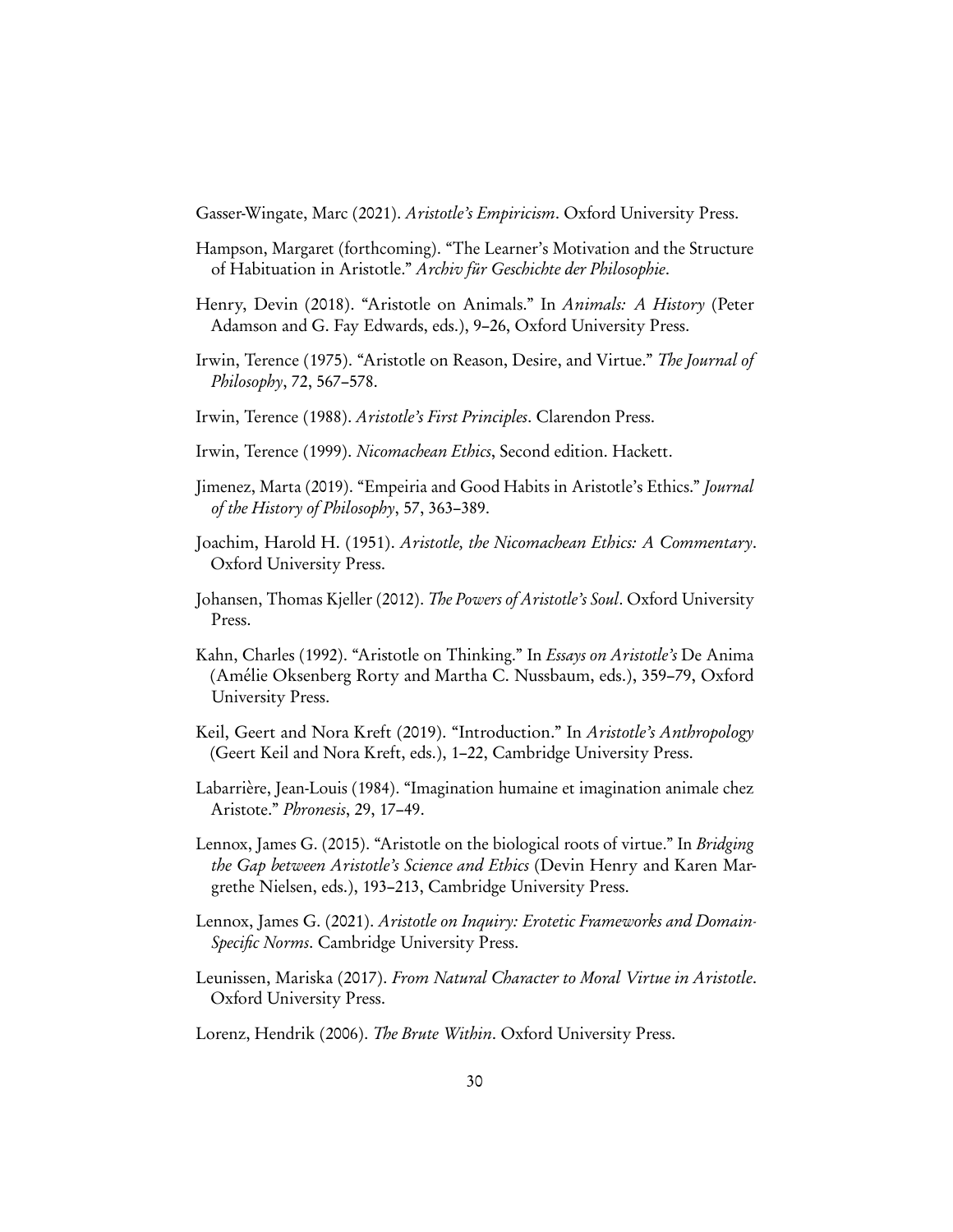<span id="page-29-14"></span>Gasser-Wingate, Marc (2021). Aristotle's Empiricism. Oxford University Press.

- <span id="page-29-12"></span>Hampson, Margaret ( forthcoming). "The Learner's Motivation and the Structure of Habituation in Aristotle." Archiv für Geschichte der Philosophie.
- <span id="page-29-8"></span>Henry, Devin (2018). "Aristotle on Animals." In Animals: A History (Peter Adamson and G. Fay Edwards, eds.), 9–26, Oxford University Press.
- <span id="page-29-11"></span>Irwin, Terence (1975). "Aristotle on Reason, Desire, and Virtue." The Journal of Philosophy, 72, 567–578.
- <span id="page-29-0"></span>Irwin, Terence (1988). Aristotle's First Principles. Clarendon Press.
- <span id="page-29-15"></span>Irwin, Terence (1999). Nicomachean Ethics, Second edition. Hackett.
- <span id="page-29-13"></span>Jimenez, Marta (2019). "Empeiria and Good Habits in Aristotle's Ethics." Journal of the History of Philosophy, 57, 363–389.
- <span id="page-29-5"></span>Joachim, Harold H. (1951). Aristotle, the Nicomachean Ethics: A Commentary. Oxford University Press.
- <span id="page-29-2"></span>Johansen, Thomas Kjeller (2012). The Powers of Aristotle's Soul. Oxford University Press.
- <span id="page-29-6"></span>Kahn, Charles (1992). "Aristotle on Thinking." In Essays on Aristotle's De Anima (Amélie Oksenberg Rorty and Martha C. Nussbaum, eds.), 359–79, Oxford University Press.
- <span id="page-29-7"></span>Keil, Geert and Nora Kreft (2019). "Introduction." In Aristotle's Anthropology (Geert Keil and Nora Kreft, eds.), 1–22, Cambridge University Press.
- <span id="page-29-3"></span>Labarrière, Jean-Louis (1984). "Imagination humaine et imagination animale chez Aristote." Phronesis, 29, 17–49.
- <span id="page-29-10"></span>Lennox, James G. (2015). "Aristotle on the biological roots of virtue." In Bridging the Gap between Aristotle's Science and Ethics (Devin Henry and Karen Margrethe Nielsen, eds.), 193–213, Cambridge University Press.
- <span id="page-29-1"></span>Lennox, James G. (2021). Aristotle on Inquiry: Erotetic Frameworks and Domain-Specific Norms. Cambridge University Press.
- <span id="page-29-9"></span>Leunissen, Mariska (2017). From Natural Character to Moral Virtue in Aristotle. Oxford University Press.

<span id="page-29-4"></span>Lorenz, Hendrik (2006). The Brute Within. Oxford University Press.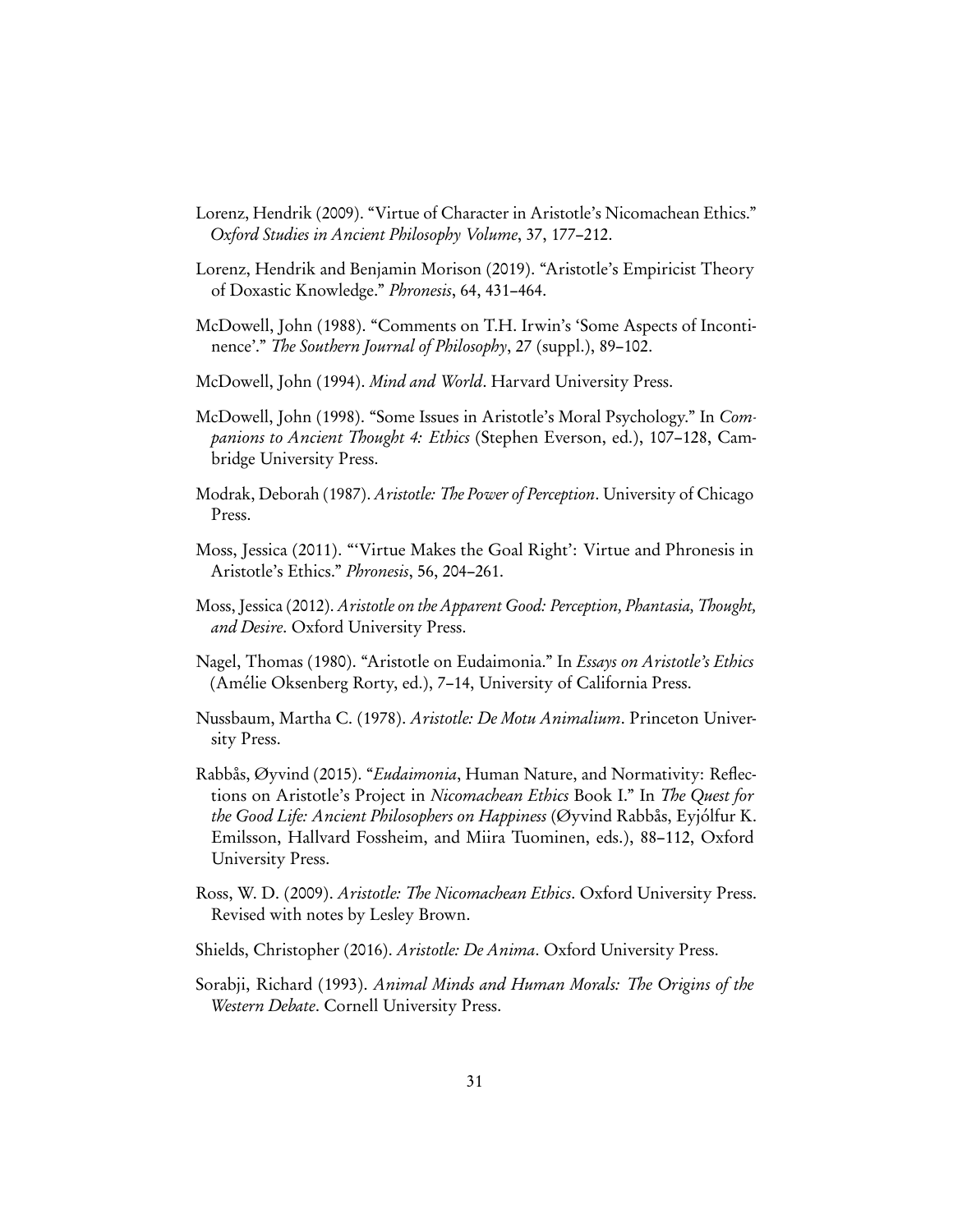- <span id="page-30-11"></span>Lorenz, Hendrik (2009). "Virtue of Character in Aristotle's Nicomachean Ethics." Oxford Studies in Ancient Philosophy Volume, 37, 177–212.
- <span id="page-30-13"></span>Lorenz, Hendrik and Benjamin Morison (2019). "Aristotle's Empiricist Theory of Doxastic Knowledge." Phronesis, 64, 431–464.
- <span id="page-30-2"></span>McDowell, John (1988). "Comments on T.H. Irwin's 'Some Aspects of Incontinence'." The Southern Journal of Philosophy, 27 (suppl.), 89–102.
- <span id="page-30-7"></span>McDowell, John (1994). Mind and World. Harvard University Press.
- <span id="page-30-3"></span>McDowell, John (1998). "Some Issues in Aristotle's Moral Psychology." In Companions to Ancient Thought 4: Ethics (Stephen Everson, ed.), 107–128, Cambridge University Press.
- <span id="page-30-0"></span>Modrak, Deborah (1987). Aristotle: The Power of Perception. University of Chicago Press.
- <span id="page-30-12"></span>Moss, Jessica (2011). "'Virtue Makes the Goal Right': Virtue and Phronesis in Aristotle's Ethics." Phronesis, 56, 204–261.
- <span id="page-30-9"></span>Moss, Jessica (2012). Aristotle on the Apparent Good: Perception, Phantasia, Thought, and Desire. Oxford University Press.
- <span id="page-30-4"></span>Nagel, Thomas (1980). "Aristotle on Eudaimonia." In Essays on Aristotle's Ethics (Amélie Oksenberg Rorty, ed.), 7–14, University of California Press.
- <span id="page-30-1"></span>Nussbaum, Martha C. (1978). Aristotle: De Motu Animalium. Princeton University Press.
- <span id="page-30-5"></span>Rabbås, Øyvind (2015). "*Eudaimonia*, Human Nature, and Normativity: Reflections on Aristotle's Project in Nicomachean Ethics Book I." In The Quest for the Good Life: Ancient Philosophers on Happiness (Øyvind Rabbås, Eyjólfur K. Emilsson, Hallvard Fossheim, and Miira Tuominen, eds.), 88–112, Oxford University Press.
- <span id="page-30-10"></span>Ross, W. D. (2009). Aristotle: The Nicomachean Ethics. Oxford University Press. Revised with notes by Lesley Brown.
- <span id="page-30-6"></span>Shields, Christopher (2016). Aristotle: De Anima. Oxford University Press.
- <span id="page-30-8"></span>Sorabji, Richard (1993). Animal Minds and Human Morals: The Origins of the Western Debate. Cornell University Press.